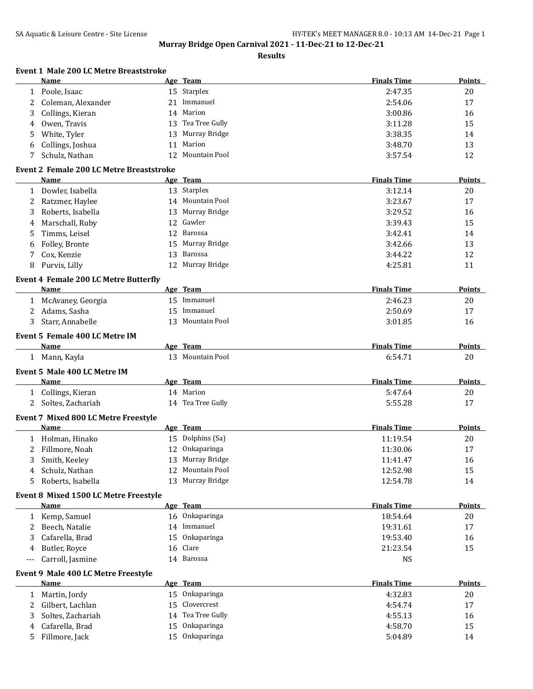**Event 1 Male 200 LC Metre Breaststroke**

**Murray Bridge Open Carnival 2021 - 11-Dec-21 to 12-Dec-21**

**Results**

| Name                                     |    | Age Team         | <b>Finals Time</b> | Points |
|------------------------------------------|----|------------------|--------------------|--------|
| Poole, Isaac                             |    | 15 Starplex      | 2:47.35            | 20     |
| 2 Coleman, Alexander                     | 21 | Immanuel         | 2:54.06            | 17     |
| 3 Collings, Kieran                       |    | 14 Marion        | 3:00.86            | 16     |
| 4 Owen, Travis                           | 13 | Tea Tree Gully   | 3:11.28            | 15     |
| 5 White, Tyler                           | 13 | Murray Bridge    | 3:38.35            | 14     |
| 6 Collings, Joshua                       | 11 | Marion           | 3:48.70            | 13     |
| Schulz, Nathan                           |    | 12 Mountain Pool | 3:57.54            | 12     |
| Event 2 Female 200 LC Metre Breaststroke |    |                  |                    |        |
|                                          |    |                  | ----               | - - -  |

### **Name Age Team Finals Time Points** 1 Dowler, Isabella 13 Starplex 13 Starplex 3:12.14 20 2 Ratzmer, Haylee 14 Mountain Pool 3:23.67 17 3 Roberts, Isabella 13 Murray Bridge 13 29.52 16 4 Marschall, Ruby 12 Gawler 3:39.43 15 5 Timms, Leisel 12 Barossa 12 Santos 12 Barossa 14 September 14 September 14 September 14 September 14 September 14 6 Folley, Bronte 15 Murray Bridge 3:42.66 13 7 Cox, Kenzie 13 Barossa 3:44.22 12 8 Purvis, Lilly 12 Murray Bridge 12 and 12 Murray Bridge 4:25.81 11

#### **Event 4 Female 200 LC Metre Butterfly**

| Name              | Age | Team          | <b>Finals Time</b> | <b>Points</b> |
|-------------------|-----|---------------|--------------------|---------------|
| McAvaney, Georgia |     | Immanuel      | 2:46.23            | 20            |
| Adams, Sasha      |     | Immanuel      | 2:50.69            | 17            |
| Starr. Annabelle  | 13. | Mountain Pool | 3:01.85            | 16            |

#### **Event 5 Female 400 LC Metre IM**

| Name                         | Age Team         | <b>Finals Time</b> | <b>Points</b> |
|------------------------------|------------------|--------------------|---------------|
| Mann, Kayla                  | 13 Mountain Pool | 6:54.71            | 20            |
| Event 5 Male 400 LC Metre IM |                  |                    |               |

| Name                                        | Age Team          | <b>Finals Time</b> | Points |  |
|---------------------------------------------|-------------------|--------------------|--------|--|
| Collings, Kieran                            | 14 Marion         | 5:47.64            | 20     |  |
| 2 Soltes, Zachariah                         | 14 Tea Tree Gully | 5:55.28            |        |  |
| <b>Event 7 Mixed 800 LC Metre Freestyle</b> |                   |                    |        |  |

| Name              |     | Age Team         | <b>Finals Time</b> | <b>Points</b> |
|-------------------|-----|------------------|--------------------|---------------|
| Holman, Hinako    |     | 15 Dolphins (Sa) | 11:19.54           | 20            |
| Fillmore, Noah    |     | 12 Onkaparinga   | 11:30.06           | 17            |
| 3 Smith, Keeley   |     | 13 Murray Bridge | 11:41.47           | 16            |
| 4 Schulz, Nathan  |     | 12 Mountain Pool | 12:52.98           | 15            |
| Roberts, Isabella | 13. | Murray Bridge    | 12:54.78           | 14            |

#### **Event 8 Mixed 1500 LC Metre Freestyle**

|                     | Name             |     | Age Team       | <b>Finals Time</b> | <b>Points</b> |
|---------------------|------------------|-----|----------------|--------------------|---------------|
|                     | Kemp, Samuel     |     | 16 Onkaparinga | 18:54.64           | 20            |
|                     | Beech, Natalie   | 14  | Immanuel       | 19:31.61           | 17            |
|                     | Cafarella, Brad  | 15. | Onkaparinga    | 19:53.40           | 16            |
| 4                   | Butler, Rovce    |     | 16 Clare       | 21:23.54           | 15            |
| $\qquad \qquad - -$ | Carroll, Jasmine | 14  | Barossa        | NS                 |               |

#### **Event 9 Male 400 LC Metre Freestyle**

|    | <b>Name</b>       |     | Age Team           | <b>Finals Time</b> | <b>Points</b> |
|----|-------------------|-----|--------------------|--------------------|---------------|
|    | Martin, Jordy     | 15. | Onkaparinga        | 4:32.83            | 20            |
|    | Gilbert, Lachlan  |     | 15 Clovercrest     | 4:54.74            | 17            |
|    | Soltes, Zachariah |     | 14 Tea Tree Gully  | 4:55.13            | 16            |
|    | Cafarella, Brad   | 15. | Onkaparinga        | 4:58.70            | 15            |
| 5. | Fillmore, Jack    | 15. | <b>Onkaparinga</b> | 5:04.89            | 14            |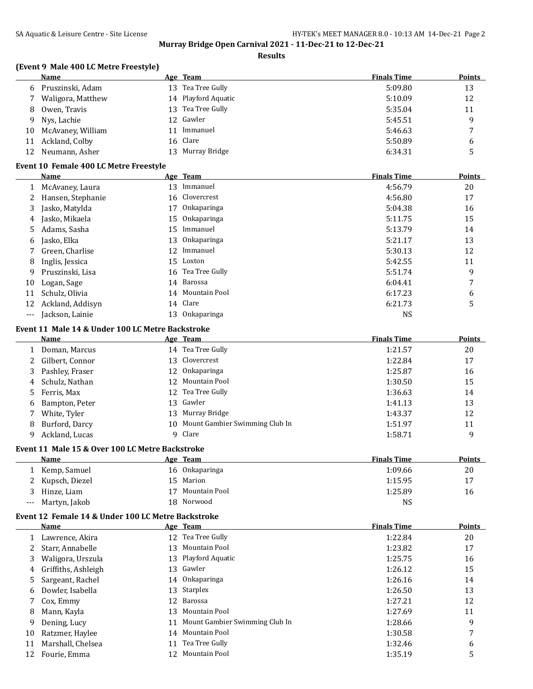#### **Results**

# **(Event 9 Male 400 LC Metre Freestyle)**

|              | Name                                                     |    | Age Team                       | <b>Finals Time</b> | <b>Points</b> |
|--------------|----------------------------------------------------------|----|--------------------------------|--------------------|---------------|
| 6            | Pruszinski, Adam                                         | 13 | Tea Tree Gully                 | 5:09.80            | 13            |
| 7            | Waligora, Matthew                                        |    | 14 Playford Aquatic            | 5:10.09            | 12            |
| 8            | Owen, Travis                                             | 13 | Tea Tree Gully                 | 5:35.04            | 11            |
| 9            | Nys, Lachie                                              | 12 | Gawler                         | 5:45.51            | 9             |
| 10           | McAvaney, William                                        | 11 | Immanuel                       | 5:46.63            | 7             |
| 11           | Ackland, Colby                                           | 16 | Clare                          | 5:50.89            | 6             |
| 12           | Neumann, Asher                                           |    | 13 Murray Bridge               | 6:34.31            | 5             |
|              | Event 10 Female 400 LC Metre Freestyle                   |    |                                |                    |               |
|              | Name                                                     |    | Age Team                       | <b>Finals Time</b> | <b>Points</b> |
| $\mathbf{1}$ | McAvaney, Laura                                          | 13 | Immanuel                       | 4:56.79            | 20            |
| 2            | Hansen, Stephanie                                        | 16 | Clovercrest                    | 4:56.80            | 17            |
| 3            | Jasko, Matylda                                           | 17 | Onkaparinga                    | 5:04.38            | 16            |
| 4            | Jasko, Mikaela                                           | 15 | Onkaparinga                    | 5:11.75            | 15            |
| 5            | Adams, Sasha                                             | 15 | Immanuel                       | 5:13.79            | 14            |
| 6            | Jasko, Elka                                              | 13 | Onkaparinga                    | 5:21.17            | 13            |
| 7            | Green, Charlise                                          | 12 | Immanuel                       | 5:30.13            | 12            |
| 8            | Inglis, Jessica                                          | 15 | Loxton                         | 5:42.55            | 11            |
| 9            | Pruszinski, Lisa                                         | 16 | Tea Tree Gully                 | 5:51.74            | 9             |
| 10           | Logan, Sage                                              |    | 14 Barossa                     | 6:04.41            | 7             |
| 11           | Schulz, Olivia                                           | 14 | Mountain Pool                  | 6:17.23            | 6             |
| 12           | Ackland, Addisyn                                         | 14 | Clare                          | 6:21.73            | 5             |
| ---          | Jackson, Lainie                                          |    | 13 Onkaparinga                 | <b>NS</b>          |               |
|              |                                                          |    |                                |                    |               |
|              | Event 11 Male 14 & Under 100 LC Metre Backstroke<br>Name |    | Age Team                       | <b>Finals Time</b> | <b>Points</b> |
|              |                                                          |    | 14 Tea Tree Gully              |                    |               |
| 1            | Doman, Marcus                                            |    | 13 Clovercrest                 | 1:21.57            | 20            |
| 2            | Gilbert, Connor                                          |    |                                | 1:22.84            | 17            |
| 3            | Pashley, Fraser                                          | 12 | Onkaparinga<br>Mountain Pool   | 1:25.87            | 16            |
| 4            | Schulz, Nathan                                           | 12 |                                | 1:30.50            | 15            |
| 5            | Ferris, Max                                              | 12 | Tea Tree Gully<br>Gawler       | 1:36.63            | 14            |
| 6            | Bampton, Peter                                           | 13 |                                | 1:41.13            | 13            |
| 7            | White, Tyler                                             | 13 | Murray Bridge                  | 1:43.37            | 12            |
| 8            | Burford, Darcy                                           | 10 | Mount Gambier Swimming Club In | 1:51.97            | 11            |
| 9            | Ackland, Lucas                                           | 9  | Clare                          | 1:58.71            | 9             |
|              | Event 11 Male 15 & Over 100 LC Metre Backstroke          |    |                                |                    |               |
|              | Name                                                     |    | Age Team                       | <b>Finals Time</b> | Points        |
| 1            | Kemp, Samuel                                             | 16 | Onkaparinga                    | 1:09.66            | 20            |
| 2            | Kupsch, Diezel                                           | 15 | Marion                         | 1:15.95            | 17            |
| 3            | Hinze, Liam                                              | 17 | Mountain Pool                  | 1:25.89            | 16            |
| ---          | Martyn, Jakob                                            | 18 | Norwood                        | <b>NS</b>          |               |
|              | Event 12 Female 14 & Under 100 LC Metre Backstroke       |    |                                |                    |               |
|              | Name                                                     |    | Age Team                       | <b>Finals Time</b> | <b>Points</b> |
| 1            | Lawrence, Akira                                          |    | 12 Tea Tree Gully              | 1:22.84            | 20            |
| 2            | Starr, Annabelle                                         | 13 | Mountain Pool                  | 1:23.82            | 17            |
| 3            | Waligora, Urszula                                        |    | 13 Playford Aquatic            | 1:25.75            | 16            |
| 4            | Griffiths, Ashleigh                                      | 13 | Gawler                         | 1:26.12            | 15            |
| 5            | Sargeant, Rachel                                         | 14 | Onkaparinga                    | 1:26.16            | 14            |
| 6            | Dowler, Isabella                                         | 13 | Starplex                       | 1:26.50            | 13            |
| 7            | Cox, Emmy                                                | 12 | Barossa                        | 1:27.21            | 12            |
| 8            | Mann, Kayla                                              | 13 | Mountain Pool                  | 1:27.69            | 11            |
| 9            | Dening, Lucy                                             | 11 | Mount Gambier Swimming Club In | 1:28.66            | 9             |
| 10           | Ratzmer, Haylee                                          | 14 | Mountain Pool                  | 1:30.58            | 7             |
| 11           | Marshall, Chelsea                                        | 11 | Tea Tree Gully                 | 1:32.46            | 6             |
| 12           | Fourie, Emma                                             |    | 12 Mountain Pool               | 1:35.19            | 5             |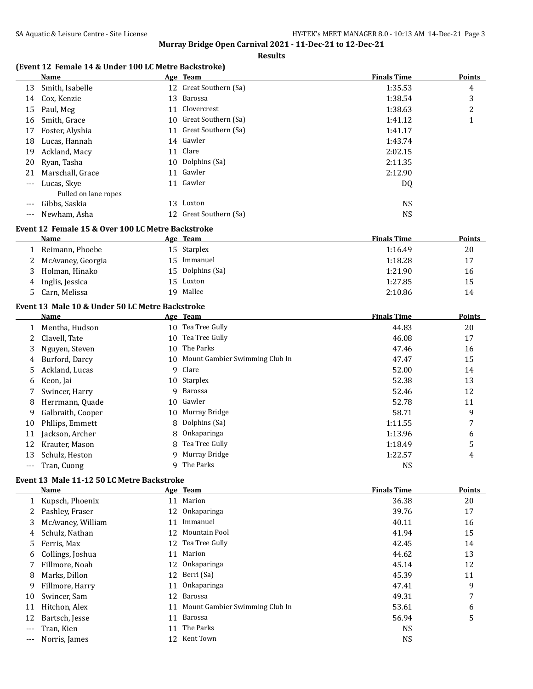#### **Results**

### **(Event 12 Female 14 & Under 100 LC Metre Backstroke)**

|          | Name                 |    | Age Team               | <b>Finals Time</b> | <b>Points</b> |
|----------|----------------------|----|------------------------|--------------------|---------------|
| 13       | Smith, Isabelle      |    | 12 Great Southern (Sa) | 1:35.53            | 4             |
| 14       | Cox, Kenzie          | 13 | Barossa                | 1:38.54            | 3             |
| 15       | Paul, Meg            |    | 11 Clovercrest         | 1:38.63            | 2             |
| 16       | Smith, Grace         |    | 10 Great Southern (Sa) | 1:41.12            | 1             |
| 17       | Foster, Alyshia      |    | 11 Great Southern (Sa) | 1:41.17            |               |
| 18       | Lucas, Hannah        |    | 14 Gawler              | 1:43.74            |               |
| 19       | Ackland, Macy        |    | 11 Clare               | 2:02.15            |               |
| 20       | Ryan, Tasha          | 10 | Dolphins (Sa)          | 2:11.35            |               |
| 21       | Marschall, Grace     |    | 11 Gawler              | 2:12.90            |               |
| $\cdots$ | Lucas, Skye          |    | 11 Gawler              | DQ                 |               |
|          | Pulled on lane ropes |    |                        |                    |               |
| $---$    | Gibbs, Saskia        | 13 | Loxton                 | <b>NS</b>          |               |
| $---$    | Newham, Asha         |    | 12 Great Southern (Sa) | <b>NS</b>          |               |

### **Event 12 Female 15 & Over 100 LC Metre Backstroke**

|   | Name                | Age Team         | <b>Finals Time</b> | <b>Points</b> |
|---|---------------------|------------------|--------------------|---------------|
|   | Reimann, Phoebe     | 15 Starplex      | 1:16.49            | 20            |
|   | 2 McAvaney, Georgia | 15 Immanuel      | 1:18.28            | 17            |
| 3 | Holman, Hinako      | 15 Dolphins (Sa) | 1:21.90            | 16            |
|   | 4 Inglis, Jessica   | 15 Loxton        | 1:27.85            | 15            |
|   | 5 Carn, Melissa     | Mallee<br>19.    | 2:10.86            | 14            |

#### **Event 13 Male 10 & Under 50 LC Metre Backstroke**

 $\overline{a}$ 

 $\overline{a}$ 

|    | Name              |    | Age Team                       | <b>Finals Time</b> | <b>Points</b> |
|----|-------------------|----|--------------------------------|--------------------|---------------|
|    | Mentha, Hudson    |    | 10 Tea Tree Gully              | 44.83              | 20            |
|    | Clavell, Tate     | 10 | Tea Tree Gully                 | 46.08              | 17            |
| 3  | Nguyen, Steven    | 10 | The Parks                      | 47.46              | 16            |
| 4  | Burford, Darcy    | 10 | Mount Gambier Swimming Club In | 47.47              | 15            |
| 5. | Ackland, Lucas    | 9  | Clare                          | 52.00              | 14            |
| 6  | Keon, Jai         | 10 | Starplex                       | 52.38              | 13            |
|    | Swincer, Harry    | 9  | Barossa                        | 52.46              | 12            |
| 8  | Herrmann, Quade   | 10 | Gawler                         | 52.78              | 11            |
| 9  | Galbraith, Cooper |    | 10 Murray Bridge               | 58.71              | 9             |
| 10 | Phllips, Emmett   | 8  | Dolphins (Sa)                  | 1:11.55            | 7             |
| 11 | Jackson, Archer   | 8  | Onkaparinga                    | 1:13.96            | 6             |
| 12 | Krauter, Mason    | 8  | Tea Tree Gully                 | 1:18.49            | 5             |
| 13 | Schulz, Heston    | 9  | Murray Bridge                  | 1:22.57            | 4             |
|    | Tran, Cuong       | q  | The Parks                      | <b>NS</b>          |               |

#### **Event 13 Male 11-12 50 LC Metre Backstroke**

|    | Name              |     | Age Team                       | <b>Finals Time</b> | <b>Points</b> |
|----|-------------------|-----|--------------------------------|--------------------|---------------|
|    | Kupsch, Phoenix   | 11  | Marion                         | 36.38              | 20            |
|    | Pashley, Fraser   | 12  | Onkaparinga                    | 39.76              | 17            |
| 3  | McAvaney, William | 11  | Immanuel                       | 40.11              | 16            |
| 4  | Schulz, Nathan    | 12  | Mountain Pool                  | 41.94              | 15            |
| 5. | Ferris, Max       |     | 12 Tea Tree Gully              | 42.45              | 14            |
| 6  | Collings, Joshua  | 11  | Marion                         | 44.62              | 13            |
|    | Fillmore, Noah    | 12  | Onkaparinga                    | 45.14              | 12            |
| 8  | Marks, Dillon     | 12  | Berri (Sa)                     | 45.39              | 11            |
| 9. | Fillmore, Harry   |     | 11 Onkaparinga                 | 47.41              | 9             |
| 10 | Swincer, Sam      | 12  | Barossa                        | 49.31              | 7             |
| 11 | Hitchon, Alex     | 11  | Mount Gambier Swimming Club In | 53.61              | 6             |
| 12 | Bartsch, Jesse    | 11  | Barossa                        | 56.94              | 5             |
|    | Tran, Kien        | 11  | The Parks                      | <b>NS</b>          |               |
|    | Norris, James     | 12. | Kent Town                      | <b>NS</b>          |               |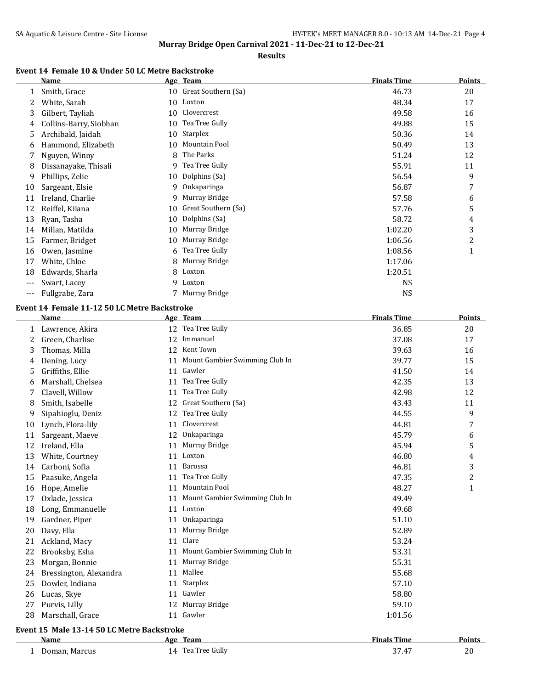#### **Results**

# **Event 14 Female 10 & Under 50 LC Metre Backstroke**

|     | Name                   |    | Age Team            | <b>Finals Time</b> | Points |
|-----|------------------------|----|---------------------|--------------------|--------|
|     | Smith, Grace           | 10 | Great Southern (Sa) | 46.73              | 20     |
| 2   | White, Sarah           | 10 | Loxton              | 48.34              | 17     |
| 3   | Gilbert, Tayliah       | 10 | Clovercrest         | 49.58              | 16     |
| 4   | Collins-Barry, Siobhan | 10 | Tea Tree Gully      | 49.88              | 15     |
| 5   | Archibald, Jaidah      | 10 | Starplex            | 50.36              | 14     |
| 6   | Hammond, Elizabeth     | 10 | Mountain Pool       | 50.49              | 13     |
|     | Nguyen, Winny          | 8  | The Parks           | 51.24              | 12     |
| 8   | Dissanayake, Thisali   | 9  | Tea Tree Gully      | 55.91              | 11     |
| 9   | Phillips, Zelie        | 10 | Dolphins (Sa)       | 56.54              | 9      |
| 10  | Sargeant, Elsie        | 9  | Onkaparinga         | 56.87              | 7      |
| 11  | Ireland, Charlie       | 9  | Murray Bridge       | 57.58              | 6      |
| 12  | Reiffel, Kiiana        | 10 | Great Southern (Sa) | 57.76              | 5      |
| 13  | Ryan, Tasha            | 10 | Dolphins (Sa)       | 58.72              | 4      |
| 14  | Millan, Matilda        | 10 | Murray Bridge       | 1:02.20            | 3      |
| 15  | Farmer, Bridget        | 10 | Murray Bridge       | 1:06.56            | 2      |
| 16  | Owen, Jasmine          | 6  | Tea Tree Gully      | 1:08.56            | 1      |
| 17  | White, Chloe           | 8  | Murray Bridge       | 1:17.06            |        |
| 18  | Edwards, Sharla        | 8  | Loxton              | 1:20.51            |        |
| --- | Swart, Lacey           | 9  | Loxton              | NS                 |        |
| --- | Fullgrabe, Zara        |    | Murray Bridge       | NS                 |        |

## **Event 14 Female 11-12 50 LC Metre Backstroke**

|    | <b>Name</b>                                |    | Age Team                       | <b>Finals Time</b> | <b>Points</b>  |  |  |  |
|----|--------------------------------------------|----|--------------------------------|--------------------|----------------|--|--|--|
| 1  | Lawrence, Akira                            |    | 12 Tea Tree Gully              | 36.85              | 20             |  |  |  |
| 2  | Green, Charlise                            | 12 | Immanuel                       | 37.08              | 17             |  |  |  |
| 3  | Thomas, Milla                              | 12 | Kent Town                      | 39.63              | 16             |  |  |  |
| 4  | Dening, Lucy                               | 11 | Mount Gambier Swimming Club In | 39.77              | 15             |  |  |  |
| 5  | Griffiths, Ellie                           |    | 11 Gawler                      | 41.50              | 14             |  |  |  |
| 6  | Marshall, Chelsea                          | 11 | Tea Tree Gully                 | 42.35              | 13             |  |  |  |
| 7  | Clavell, Willow                            | 11 | Tea Tree Gully                 | 42.98              | 12             |  |  |  |
| 8  | Smith, Isabelle                            |    | 12 Great Southern (Sa)         | 43.43              | 11             |  |  |  |
| 9  | Sipahioglu, Deniz                          | 12 | Tea Tree Gully                 | 44.55              | 9              |  |  |  |
| 10 | Lynch, Flora-lily                          | 11 | Clovercrest                    | 44.81              | $\overline{7}$ |  |  |  |
| 11 | Sargeant, Maeve                            | 12 | Onkaparinga                    | 45.79              | 6              |  |  |  |
| 12 | Ireland, Ella                              | 11 | Murray Bridge                  | 45.94              | 5              |  |  |  |
| 13 | White, Courtney                            | 11 | Loxton                         | 46.80              | 4              |  |  |  |
| 14 | Carboni, Sofia                             | 11 | Barossa                        | 46.81              | 3              |  |  |  |
| 15 | Paasuke, Angela                            |    | 11 Tea Tree Gully              | 47.35              | $\overline{c}$ |  |  |  |
| 16 | Hope, Amelie                               | 11 | Mountain Pool                  | 48.27              | $\mathbf{1}$   |  |  |  |
| 17 | Oxlade, Jessica                            | 11 | Mount Gambier Swimming Club In | 49.49              |                |  |  |  |
| 18 | Long, Emmanuelle                           | 11 | Loxton                         | 49.68              |                |  |  |  |
| 19 | Gardner, Piper                             | 11 | Onkaparinga                    | 51.10              |                |  |  |  |
| 20 | Davy, Ella                                 | 11 | Murray Bridge                  | 52.89              |                |  |  |  |
| 21 | Ackland, Macy                              | 11 | Clare                          | 53.24              |                |  |  |  |
| 22 | Brooksby, Esha                             | 11 | Mount Gambier Swimming Club In | 53.31              |                |  |  |  |
| 23 | Morgan, Bonnie                             | 11 | Murray Bridge                  | 55.31              |                |  |  |  |
| 24 | Bressington, Alexandra                     | 11 | Mallee                         | 55.68              |                |  |  |  |
| 25 | Dowler, Indiana                            | 11 | Starplex                       | 57.10              |                |  |  |  |
| 26 | Lucas, Skye                                | 11 | Gawler                         | 58.80              |                |  |  |  |
| 27 | Purvis, Lilly                              | 12 | Murray Bridge                  | 59.10              |                |  |  |  |
| 28 | Marschall, Grace                           |    | 11 Gawler                      | 1:01.56            |                |  |  |  |
|    | Event 15 Male 13-14 50 LC Metre Backstroke |    |                                |                    |                |  |  |  |

| Name          | Age | <b>Team</b>    | <b>Finals Time</b> | <b>Points</b> |
|---------------|-----|----------------|--------------------|---------------|
| Doman. Marcus | l 4 | Tea Tree Gully | <b>OT</b><br>37.47 | ZU            |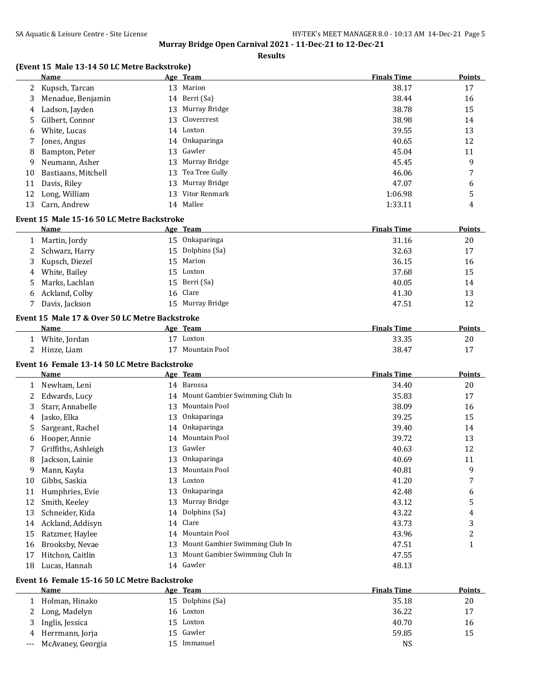#### **Results**

### **(Event 15 Male 13-14 50 LC Metre Backstroke)**

|    | Name                |    | Age Team          | <b>Finals Time</b> | <b>Points</b> |
|----|---------------------|----|-------------------|--------------------|---------------|
|    | 2 Kupsch, Tarcan    | 13 | Marion            | 38.17              | 17            |
| 3  | Menadue, Benjamin   |    | 14 Berri (Sa)     | 38.44              | 16            |
| 4  | Ladson, Jayden      |    | 13 Murray Bridge  | 38.78              | 15            |
| 5. | Gilbert, Connor     |    | 13 Clovercrest    | 38.98              | 14            |
| 6  | White, Lucas        |    | 14 Loxton         | 39.55              | 13            |
|    | Jones, Angus        |    | 14 Onkaparinga    | 40.65              | 12            |
| 8  | Bampton, Peter      |    | 13 Gawler         | 45.04              | 11            |
| 9  | Neumann, Asher      |    | 13 Murray Bridge  | 45.45              | 9             |
| 10 | Bastiaans, Mitchell |    | 13 Tea Tree Gully | 46.06              | 7             |
| 11 | Davis, Riley        |    | 13 Murray Bridge  | 47.07              | 6             |
| 12 | Long, William       | 13 | Vitor Renmark     | 1:06.98            | 5             |
| 13 | Carn, Andrew        | 14 | Mallee            | 1:33.11            | 4             |

#### **Event 15 Male 15-16 50 LC Metre Backstroke**

|   | <b>Name</b>      | Age Team         | <b>Finals Time</b> | <b>Points</b> |
|---|------------------|------------------|--------------------|---------------|
|   | Martin, Jordy    | 15 Onkaparinga   | 31.16              | 20            |
|   | 2 Schwarz, Harry | 15 Dolphins (Sa) | 32.63              | 17            |
|   | 3 Kupsch, Diezel | 15 Marion        | 36.15              | 16            |
|   | 4 White, Bailey  | 15 Loxton        | 37.68              | 15            |
|   | 5 Marks, Lachlan | 15 Berri (Sa)    | 40.05              | 14            |
| 6 | Ackland, Colby   | 16 Clare         | 41.30              | 13            |
|   | Davis, Jackson   | 15 Murray Bridge | 47.51              | 12            |

### **Event 15 Male 17 & Over 50 LC Metre Backstroke**

| Name          | Age | Team          | <b>Finals Time</b> | Points |
|---------------|-----|---------------|--------------------|--------|
| White, Jordan |     | Loxton        | 33.35              | 20     |
| Hinze, Liam   |     | Mountain Pool | -38.47             |        |

#### **Event 16 Female 13-14 50 LC Metre Backstroke**

|    | Name                |    | Age Team                       | <b>Finals Time</b> | Points |
|----|---------------------|----|--------------------------------|--------------------|--------|
|    | Newham, Leni        |    | 14 Barossa                     | 34.40              | 20     |
|    | Edwards, Lucy       | 14 | Mount Gambier Swimming Club In | 35.83              | 17     |
| 3  | Starr, Annabelle    | 13 | Mountain Pool                  | 38.09              | 16     |
| 4  | Jasko, Elka         | 13 | Onkaparinga                    | 39.25              | 15     |
| 5  | Sargeant, Rachel    | 14 | <b>Onkaparinga</b>             | 39.40              | 14     |
| 6  | Hooper, Annie       | 14 | Mountain Pool                  | 39.72              | 13     |
|    | Griffiths, Ashleigh | 13 | Gawler                         | 40.63              | 12     |
| 8  | Jackson, Lainie     | 13 | Onkaparinga                    | 40.69              | 11     |
| 9  | Mann, Kayla         | 13 | Mountain Pool                  | 40.81              | 9      |
| 10 | Gibbs, Saskia       | 13 | Loxton                         | 41.20              | 7      |
| 11 | Humphries, Evie     | 13 | Onkaparinga                    | 42.48              | 6      |
| 12 | Smith, Keeley       | 13 | Murray Bridge                  | 43.12              | 5      |
| 13 | Schneider, Kida     |    | 14 Dolphins (Sa)               | 43.22              | 4      |
| 14 | Ackland, Addisyn    | 14 | Clare                          | 43.73              | 3      |
| 15 | Ratzmer, Haylee     | 14 | Mountain Pool                  | 43.96              | 2      |
| 16 | Brooksby, Nevae     | 13 | Mount Gambier Swimming Club In | 47.51              | 1      |
| 17 | Hitchon, Caitlin    | 13 | Mount Gambier Swimming Club In | 47.55              |        |
| 18 | Lucas, Hannah       | 14 | Gawler                         | 48.13              |        |

#### **Event 16 Female 15-16 50 LC Metre Backstroke**

|       | Name              | Age Team         | <b>Finals Time</b> | <b>Points</b> |
|-------|-------------------|------------------|--------------------|---------------|
|       | Holman, Hinako    | 15 Dolphins (Sa) | 35.18              | 20            |
|       | Long, Madelyn     | 16 Loxton        | 36.22              | 17            |
| 3.    | Inglis, Jessica   | 15 Loxton        | 40.70              | 16            |
| 4     | Herrmann, Jorja   | 15 Gawler        | 59.85              | 15            |
| $---$ | McAvaney, Georgia | Immanuel         | NS                 |               |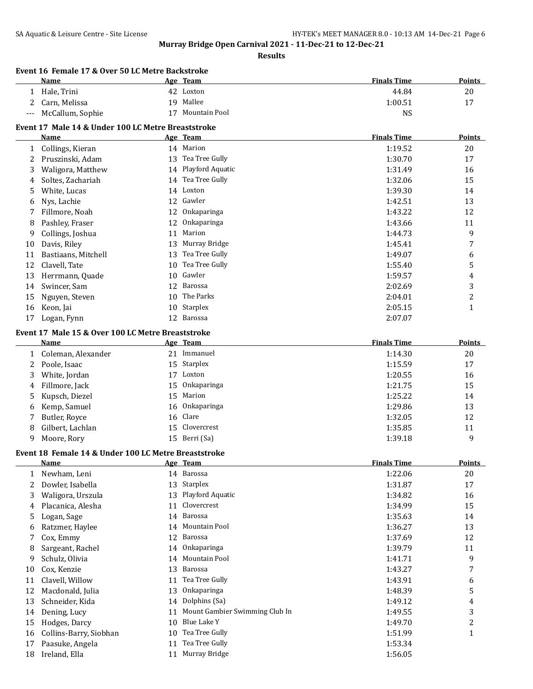**Results**

|              | Event 16 Female 17 & Over 50 LC Metre Backstroke<br>Name |    | Age Team                       | <b>Finals Time</b> | <b>Points</b>  |
|--------------|----------------------------------------------------------|----|--------------------------------|--------------------|----------------|
|              | 1 Hale, Trini                                            |    | 42 Loxton                      | 44.84              | $20\,$         |
| 2            | Carn, Melissa                                            |    | 19 Mallee                      | 1:00.51            | 17             |
| ---          | McCallum, Sophie                                         |    | 17 Mountain Pool               | <b>NS</b>          |                |
|              | Event 17 Male 14 & Under 100 LC Metre Breaststroke       |    |                                |                    |                |
|              | Name                                                     |    | Age Team                       | <b>Finals Time</b> | <b>Points</b>  |
| $\mathbf{1}$ | Collings, Kieran                                         |    | 14 Marion                      | 1:19.52            | 20             |
|              | 2 Pruszinski, Adam                                       |    | 13 Tea Tree Gully              | 1:30.70            | 17             |
| 3            | Waligora, Matthew                                        |    | 14 Playford Aquatic            | 1:31.49            | 16             |
| 4            | Soltes, Zachariah                                        |    | 14 Tea Tree Gully              | 1:32.06            | 15             |
| 5            | White, Lucas                                             |    | 14 Loxton                      | 1:39.30            | 14             |
| 6            | Nys, Lachie                                              |    | 12 Gawler                      | 1:42.51            | 13             |
| 7            | Fillmore, Noah                                           | 12 | Onkaparinga                    | 1:43.22            | 12             |
| 8            | Pashley, Fraser                                          | 12 | Onkaparinga                    | 1:43.66            | 11             |
| 9            | Collings, Joshua                                         | 11 | Marion                         | 1:44.73            | 9              |
| 10           | Davis, Riley                                             | 13 | Murray Bridge                  | 1:45.41            | 7              |
| 11           | Bastiaans, Mitchell                                      | 13 | Tea Tree Gully                 | 1:49.07            | 6              |
| 12           | Clavell, Tate                                            | 10 | Tea Tree Gully                 | 1:55.40            | 5              |
| 13           | Herrmann, Quade                                          | 10 | Gawler                         | 1:59.57            | 4              |
| 14           | Swincer, Sam                                             | 12 | Barossa                        | 2:02.69            | 3              |
| 15           | Nguyen, Steven                                           | 10 | The Parks                      | 2:04.01            | $\overline{c}$ |
| 16           | Keon, Jai                                                | 10 | Starplex                       | 2:05.15            | $\mathbf{1}$   |
| 17           | Logan, Fynn                                              |    | 12 Barossa                     | 2:07.07            |                |
|              |                                                          |    |                                |                    |                |
|              | Event 17 Male 15 & Over 100 LC Metre Breaststroke        |    |                                |                    |                |
|              | Name                                                     |    | Age Team                       | <b>Finals Time</b> | Points         |
| 1            | Coleman, Alexander                                       |    | 21 Immanuel                    | 1:14.30            | 20             |
| 2            | Poole, Isaac                                             | 15 | Starplex                       | 1:15.59            | 17             |
| 3            | White, Jordan                                            |    | 17 Loxton                      | 1:20.55            | 16             |
| 4            | Fillmore, Jack                                           | 15 | Onkaparinga                    | 1:21.75            | 15             |
| 5            | Kupsch, Diezel                                           | 15 | Marion                         | 1:25.22            | 14             |
| 6            | Kemp, Samuel                                             | 16 | Onkaparinga                    | 1:29.86            | 13             |
| 7            | Butler, Royce                                            | 16 | Clare                          | 1:32.05            | 12             |
| 8            | Gilbert, Lachlan                                         | 15 | Clovercrest                    | 1:35.85            | 11             |
| 9            | Moore, Rory                                              |    | 15 Berri (Sa)                  | 1:39.18            | 9              |
|              | Event 18 Female 14 & Under 100 LC Metre Breaststroke     |    |                                |                    |                |
|              | <b>Name</b>                                              |    | Age Team                       | <b>Finals Time</b> | Points         |
| 1            | Newham, Leni                                             |    | 14 Barossa                     | 1:22.06            | 20             |
| 2            | Dowler, Isabella                                         | 13 | Starplex                       | 1:31.87            | 17             |
| 3            | Waligora, Urszula                                        | 13 | Playford Aquatic               | 1:34.82            | 16             |
| 4            | Placanica, Alesha                                        | 11 | Clovercrest                    | 1:34.99            | 15             |
| 5            | Logan, Sage                                              | 14 | Barossa                        | 1:35.63            | 14             |
| 6            | Ratzmer, Haylee                                          | 14 | Mountain Pool                  | 1:36.27            | 13             |
| 7            | Cox, Emmy                                                | 12 | Barossa                        | 1:37.69            | 12             |
| 8            | Sargeant, Rachel                                         | 14 | Onkaparinga                    | 1:39.79            | 11             |
| 9            | Schulz, Olivia                                           | 14 | Mountain Pool                  | 1:41.71            | 9              |
| 10           | Cox, Kenzie                                              | 13 | Barossa                        | 1:43.27            | 7              |
| 11           | Clavell, Willow                                          | 11 | Tea Tree Gully                 | 1:43.91            | 6              |
| 12           | Macdonald, Julia                                         | 13 | Onkaparinga                    | 1:48.39            | 5              |
| 13           | Schneider, Kida                                          | 14 | Dolphins (Sa)                  | 1:49.12            | 4              |
| 14           | Dening, Lucy                                             | 11 | Mount Gambier Swimming Club In | 1:49.55            | 3              |
| 15           | Hodges, Darcy                                            | 10 | Blue Lake Y                    | 1:49.70            | $\overline{c}$ |
| 16           | Collins-Barry, Siobhan                                   | 10 | Tea Tree Gully                 | 1:51.99            | $\mathbf{1}$   |
| 17           | Paasuke, Angela                                          | 11 | Tea Tree Gully                 | 1:53.34            |                |
|              | Ireland, Ella                                            |    | 11 Murray Bridge               | 1:56.05            |                |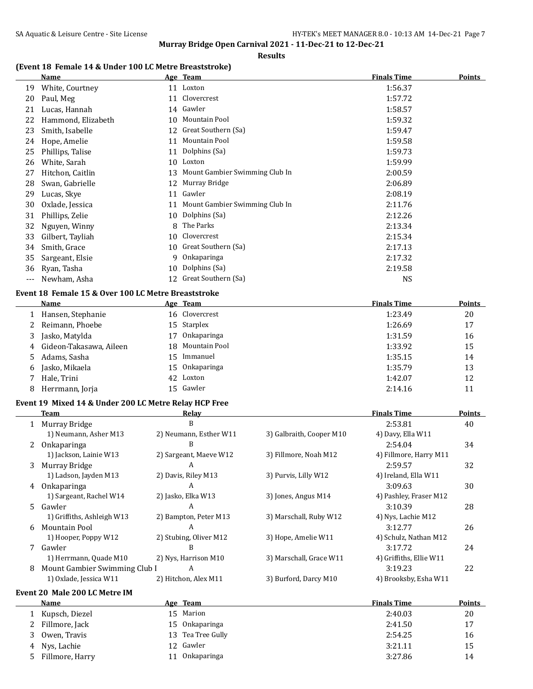#### **Results**

# **(Event 18 Female 14 & Under 100 LC Metre Breaststroke)**

|     | Name               |    | Age Team                       | <b>Finals Time</b> | Points |
|-----|--------------------|----|--------------------------------|--------------------|--------|
| 19  | White, Courtney    |    | 11 Loxton                      | 1:56.37            |        |
| 20  | Paul, Meg          | 11 | Clovercrest                    | 1:57.72            |        |
| 21  | Lucas, Hannah      |    | 14 Gawler                      | 1:58.57            |        |
| 22  | Hammond, Elizabeth | 10 | Mountain Pool                  | 1:59.32            |        |
| 23  | Smith, Isabelle    | 12 | Great Southern (Sa)            | 1:59.47            |        |
| 24  | Hope, Amelie       | 11 | Mountain Pool                  | 1:59.58            |        |
| 25  | Phillips, Talise   | 11 | Dolphins (Sa)                  | 1:59.73            |        |
| 26  | White, Sarah       | 10 | Loxton                         | 1:59.99            |        |
| 27  | Hitchon, Caitlin   | 13 | Mount Gambier Swimming Club In | 2:00.59            |        |
| 28  | Swan, Gabrielle    | 12 | Murray Bridge                  | 2:06.89            |        |
| 29  | Lucas, Skye        | 11 | Gawler                         | 2:08.19            |        |
| 30  | Oxlade, Jessica    | 11 | Mount Gambier Swimming Club In | 2:11.76            |        |
| 31  | Phillips, Zelie    | 10 | Dolphins (Sa)                  | 2:12.26            |        |
| 32  | Nguyen, Winny      | 8  | The Parks                      | 2:13.34            |        |
| 33  | Gilbert, Tayliah   | 10 | Clovercrest                    | 2:15.34            |        |
| 34  | Smith, Grace       | 10 | Great Southern (Sa)            | 2:17.13            |        |
| 35  | Sargeant, Elsie    | 9  | Onkaparinga                    | 2:17.32            |        |
| 36  | Ryan, Tasha        | 10 | Dolphins (Sa)                  | 2:19.58            |        |
| --- | Newham, Asha       | 12 | Great Southern (Sa)            | <b>NS</b>          |        |

## **Event 18 Female 15 & Over 100 LC Metre Breaststroke**

|   | Name                      |    | Age Team           | <b>Finals Time</b> | <b>Points</b> |
|---|---------------------------|----|--------------------|--------------------|---------------|
|   | 1 Hansen, Stephanie       |    | 16 Clovercrest     | 1:23.49            | 20            |
|   | 2 Reimann, Phoebe         |    | 15 Starplex        | 1:26.69            | 17            |
|   | Jasko, Matylda            | 17 | <b>Onkaparinga</b> | 1:31.59            | 16            |
|   | 4 Gideon-Takasawa, Aileen |    | 18 Mountain Pool   | 1:33.92            | 15            |
|   | 5 Adams, Sasha            |    | 15 Immanuel        | 1:35.15            | 14            |
| 6 | Jasko, Mikaela            |    | 15 Onkaparinga     | 1:35.79            | 13            |
|   | Hale, Trini               |    | 42 Loxton          | 1:42.07            | 12            |
| 8 | Herrmann, Jorja           |    | 15 Gawler          | 2:14.16            | 11            |

#### **Event 19 Mixed 14 & Under 200 LC Metre Relay HCP Free**

|     | Team                          | Relay                  |                          | <b>Finals Time</b>      | <b>Points</b> |
|-----|-------------------------------|------------------------|--------------------------|-------------------------|---------------|
|     | 1 Murray Bridge               | В                      |                          | 2:53.81                 | 40            |
|     | 1) Neumann, Asher M13         | 2) Neumann, Esther W11 | 3) Galbraith, Cooper M10 | 4) Davy, Ella W11       |               |
|     | Onkaparinga                   | B                      |                          | 2:54.04                 | 34            |
|     | 1) Jackson, Lainie W13        | 2) Sargeant, Maeve W12 | 3) Fillmore, Noah M12    | 4) Fillmore, Harry M11  |               |
| 3   | Murray Bridge                 | A                      |                          | 2:59.57                 | 32            |
|     | 1) Ladson, Jayden M13         | 2) Davis, Riley M13    | 3) Purvis, Lilly W12     | 4) Ireland, Ella W11    |               |
| 4   | Onkaparinga                   | A                      |                          | 3:09.63                 | 30            |
|     | 1) Sargeant, Rachel W14       | 2) Jasko, Elka W13     | 3) Jones, Angus M14      | 4) Pashley, Fraser M12  |               |
| .5. | Gawler                        | A                      |                          | 3:10.39                 | 28            |
|     | 1) Griffiths, Ashleigh W13    | 2) Bampton, Peter M13  | 3) Marschall, Ruby W12   | 4) Nys, Lachie M12      |               |
| 6   | Mountain Pool                 | A                      |                          | 3:12.77                 | 26            |
|     | 1) Hooper, Poppy W12          | 2) Stubing, Oliver M12 | 3) Hope, Amelie W11      | 4) Schulz, Nathan M12   |               |
|     | Gawler                        | в                      |                          | 3:17.72                 | 24            |
|     | 1) Herrmann, Quade M10        | 2) Nys, Harrison M10   | 3) Marschall, Grace W11  | 4) Griffiths, Ellie W11 |               |
| 8   | Mount Gambier Swimming Club I | A                      |                          | 3:19.23                 | 22            |
|     | 1) Oxlade, Jessica W11        | 2) Hitchon, Alex M11   | 3) Burford, Darcy M10    | 4) Brooksby, Esha W11   |               |
|     | Event 20 Male 200 LC Metre IM |                        |                          |                         |               |

| <b>Name</b>      |    | <u>Age Team</u>    | <b>Finals Time</b> | <b>Points</b> |
|------------------|----|--------------------|--------------------|---------------|
| 1 Kupsch, Diezel |    | 15 Marion          | 2:40.03            | 20            |
| 2 Fillmore, Jack |    | 15 Onkaparinga     | 2:41.50            | 17            |
| Owen, Travis     |    | 13 Tea Tree Gully  | 2:54.25            | 16            |
| 4 Nys, Lachie    |    | 12 Gawler          | 3:21.11            | 15            |
| Fillmore, Harry  | 11 | <b>Onkaparinga</b> | 3:27.86            | 14            |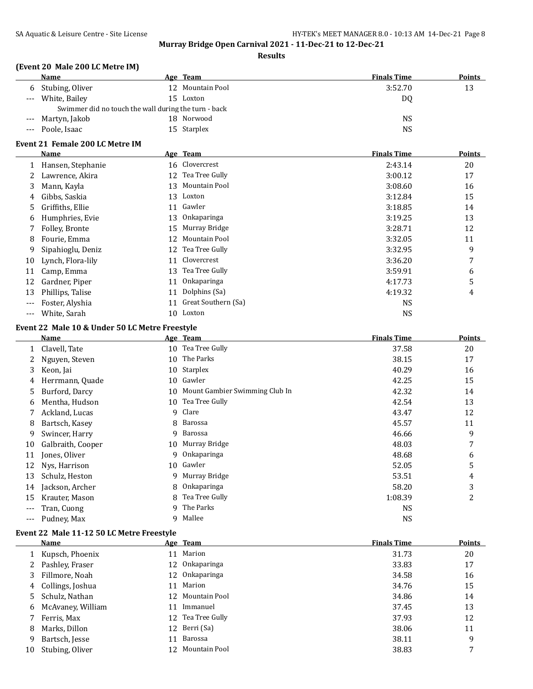#### **Results**

### **(Event 20 Male 200 LC Metre IM)**

|       | Name                                                 |  | Age Team         | <b>Finals Time</b> | <b>Points</b> |
|-------|------------------------------------------------------|--|------------------|--------------------|---------------|
| 6     | Stubing, Oliver                                      |  | 12 Mountain Pool | 3:52.70            | 13            |
| $---$ | White, Bailey                                        |  | 15 Loxton        | DQ                 |               |
|       | Swimmer did no touch the wall during the turn - back |  |                  |                    |               |
| $---$ | Martyn, Jakob                                        |  | 18 Norwood       | <b>NS</b>          |               |
| $---$ | Poole, Isaac                                         |  | 15 Starplex      | <b>NS</b>          |               |

# **Event 21 Female 200 LC Metre IM**

|     | Name              |    | Age Team            | <b>Finals Time</b> | <b>Points</b> |
|-----|-------------------|----|---------------------|--------------------|---------------|
|     | Hansen, Stephanie |    | 16 Clovercrest      | 2:43.14            | 20            |
| 2   | Lawrence, Akira   | 12 | Tea Tree Gully      | 3:00.12            | 17            |
| 3.  | Mann, Kayla       | 13 | Mountain Pool       | 3:08.60            | 16            |
| 4   | Gibbs, Saskia     | 13 | Loxton              | 3:12.84            | 15            |
| 5.  | Griffiths, Ellie  |    | 11 Gawler           | 3:18.85            | 14            |
| 6.  | Humphries, Evie   | 13 | <b>Onkaparinga</b>  | 3:19.25            | 13            |
|     | Folley, Bronte    | 15 | Murray Bridge       | 3:28.71            | 12            |
| 8   | Fourie, Emma      | 12 | Mountain Pool       | 3:32.05            | 11            |
| 9   | Sipahioglu, Deniz | 12 | Tea Tree Gully      | 3:32.95            | 9             |
| 10  | Lynch, Flora-lily | 11 | Clovercrest         | 3:36.20            | 7             |
| 11  | Camp, Emma        | 13 | Tea Tree Gully      | 3:59.91            | 6             |
| 12  | Gardner, Piper    | 11 | Onkaparinga         | 4:17.73            | 5             |
| 13  | Phillips, Talise  | 11 | Dolphins (Sa)       | 4:19.32            | 4             |
|     | Foster, Alyshia   | 11 | Great Southern (Sa) | <b>NS</b>          |               |
| --- | White, Sarah      | 10 | Loxton              | <b>NS</b>          |               |

#### **Event 22 Male 10 & Under 50 LC Metre Freestyle**

|         | Name              |    | Age Team                       | <b>Finals Time</b> | Points         |
|---------|-------------------|----|--------------------------------|--------------------|----------------|
|         | Clavell, Tate     | 10 | Tea Tree Gully                 | 37.58              | 20             |
| 2       | Nguyen, Steven    | 10 | The Parks                      | 38.15              | 17             |
| 3       | Keon, Jai         | 10 | <b>Starplex</b>                | 40.29              | 16             |
| 4       | Herrmann, Quade   | 10 | Gawler                         | 42.25              | 15             |
| 5       | Burford, Darcy    | 10 | Mount Gambier Swimming Club In | 42.32              | 14             |
| 6       | Mentha, Hudson    | 10 | Tea Tree Gully                 | 42.54              | 13             |
|         | Ackland, Lucas    | 9  | Clare                          | 43.47              | 12             |
| 8       | Bartsch, Kasey    | 8  | Barossa                        | 45.57              | 11             |
| 9       | Swincer, Harry    | 9  | Barossa                        | 46.66              | 9              |
| 10      | Galbraith, Cooper | 10 | Murray Bridge                  | 48.03              | 7              |
| 11      | Jones, Oliver     | 9  | Onkaparinga                    | 48.68              | 6              |
| 12      | Nys, Harrison     | 10 | Gawler                         | 52.05              | 5              |
| 13      | Schulz, Heston    | 9  | Murray Bridge                  | 53.51              | 4              |
| 14      | Jackson, Archer   | 8  | Onkaparinga                    | 58.20              | 3              |
| 15      | Krauter, Mason    | 8  | Tea Tree Gully                 | 1:08.39            | $\overline{2}$ |
| $---$   | Tran, Cuong       | 9  | The Parks                      | <b>NS</b>          |                |
| $- - -$ | Pudney, Max       | 9  | Mallee                         | NS                 |                |

#### **Event 22 Male 11-12 50 LC Metre Freestyle**

|    | <b>Name</b>       |    | Age Team          | <b>Finals Time</b> | <b>Points</b> |
|----|-------------------|----|-------------------|--------------------|---------------|
|    | 1 Kupsch, Phoenix |    | 11 Marion         | 31.73              | 20            |
| 2  | Pashley, Fraser   |    | 12 Onkaparinga    | 33.83              | 17            |
| 3  | Fillmore, Noah    |    | 12 Onkaparinga    | 34.58              | 16            |
| 4  | Collings, Joshua  | 11 | Marion            | 34.76              | 15            |
| 5. | Schulz, Nathan    |    | 12 Mountain Pool  | 34.86              | 14            |
| 6  | McAvaney, William | 11 | Immanuel          | 37.45              | 13            |
|    | Ferris, Max       |    | 12 Tea Tree Gully | 37.93              | 12            |
| 8  | Marks, Dillon     |    | 12 Berri (Sa)     | 38.06              | 11            |
| 9  | Bartsch, Jesse    | 11 | Barossa           | 38.11              | 9             |
| 10 | Stubing, Oliver   | 12 | Mountain Pool     | 38.83              | 7             |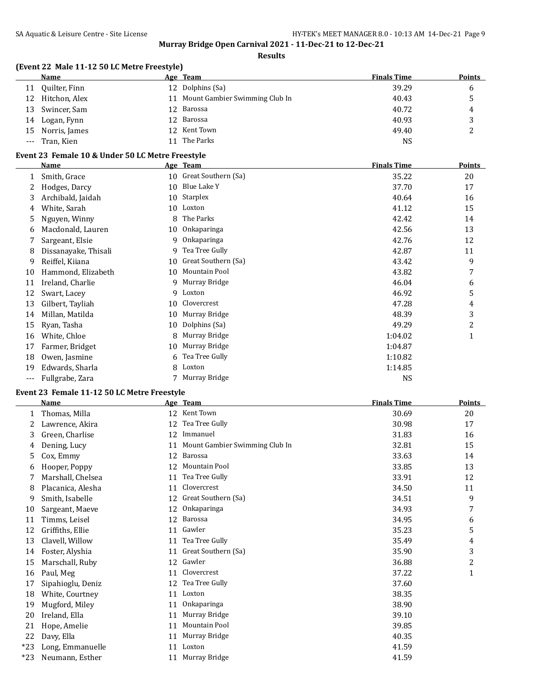**Results**

## **(Event 22 Male 11-12 50 LC Metre Freestyle)**

|       | Name             | Age Team                          | <b>Finals Time</b> | <b>Points</b> |
|-------|------------------|-----------------------------------|--------------------|---------------|
| 11    | Quilter, Finn    | 12 Dolphins (Sa)                  | 39.29              | 6             |
| 12    | Hitchon, Alex    | 11 Mount Gambier Swimming Club In | 40.43              | ັ             |
| 13    | Swincer, Sam     | 12 Barossa                        | 40.72              | 4             |
|       | 14 Logan, Fynn   | 12 Barossa                        | 40.93              | ັ             |
|       | 15 Norris, James | 12 Kent Town                      | 49.40              | ∼             |
| $---$ | Tran, Kien       | 11 The Parks                      | <b>NS</b>          |               |

#### **Event 23 Female 10 & Under 50 LC Metre Freestyle**

|       | Name                 |    | Age Team            | <b>Finals Time</b> | <b>Points</b> |
|-------|----------------------|----|---------------------|--------------------|---------------|
| 1     | Smith, Grace         | 10 | Great Southern (Sa) | 35.22              | 20            |
| 2     | Hodges, Darcy        | 10 | Blue Lake Y         | 37.70              | 17            |
| 3     | Archibald, Jaidah    | 10 | Starplex            | 40.64              | 16            |
| 4     | White, Sarah         | 10 | Loxton              | 41.12              | 15            |
| 5     | Nguyen, Winny        | 8  | The Parks           | 42.42              | 14            |
| 6     | Macdonald, Lauren    | 10 | Onkaparinga         | 42.56              | 13            |
| 7     | Sargeant, Elsie      | 9  | Onkaparinga         | 42.76              | 12            |
| 8     | Dissanayake, Thisali | 9  | Tea Tree Gully      | 42.87              | 11            |
| 9     | Reiffel, Kiiana      | 10 | Great Southern (Sa) | 43.42              | 9             |
| 10    | Hammond, Elizabeth   | 10 | Mountain Pool       | 43.82              | 7             |
| 11    | Ireland, Charlie     | 9  | Murray Bridge       | 46.04              | 6             |
| 12    | Swart, Lacey         | 9  | Loxton              | 46.92              | 5             |
| 13    | Gilbert, Tayliah     | 10 | Clovercrest         | 47.28              | 4             |
| 14    | Millan, Matilda      | 10 | Murray Bridge       | 48.39              | 3             |
| 15    | Ryan, Tasha          | 10 | Dolphins (Sa)       | 49.29              | 2             |
| 16    | White, Chloe         | 8  | Murray Bridge       | 1:04.02            | $\mathbf{1}$  |
| 17    | Farmer, Bridget      | 10 | Murray Bridge       | 1:04.87            |               |
| 18    | Owen, Jasmine        | 6  | Tea Tree Gully      | 1:10.82            |               |
| 19    | Edwards, Sharla      | 8  | Loxton              | 1:14.85            |               |
| $---$ | Fullgrabe, Zara      |    | Murray Bridge       | <b>NS</b>          |               |

### **Event 23 Female 11-12 50 LC Metre Freestyle**

|       | <b>Name</b>       | <u>Age</u> | <b>Team</b>                    | <b>Finals Time</b> | <b>Points</b>  |
|-------|-------------------|------------|--------------------------------|--------------------|----------------|
| 1     | Thomas, Milla     | 12         | Kent Town                      | 30.69              | 20             |
|       | Lawrence, Akira   | 12         | Tea Tree Gully                 | 30.98              | 17             |
| 3     | Green, Charlise   | 12         | Immanuel                       | 31.83              | 16             |
| 4     | Dening, Lucy      | 11         | Mount Gambier Swimming Club In | 32.81              | 15             |
| 5     | Cox, Emmy         | 12         | Barossa                        | 33.63              | 14             |
| 6     | Hooper, Poppy     | 12         | Mountain Pool                  | 33.85              | 13             |
|       | Marshall, Chelsea | 11         | Tea Tree Gully                 | 33.91              | 12             |
| 8     | Placanica, Alesha | 11         | Clovercrest                    | 34.50              | 11             |
| 9     | Smith, Isabelle   | 12         | Great Southern (Sa)            | 34.51              | 9              |
| 10    | Sargeant, Maeve   | 12         | Onkaparinga                    | 34.93              | 7              |
| 11    | Timms, Leisel     | 12         | Barossa                        | 34.95              | 6              |
| 12    | Griffiths, Ellie  | 11         | Gawler                         | 35.23              | 5              |
| 13    | Clavell, Willow   | 11         | Tea Tree Gully                 | 35.49              | 4              |
| 14    | Foster, Alyshia   | 11         | Great Southern (Sa)            | 35.90              | 3              |
| 15    | Marschall, Ruby   | 12         | Gawler                         | 36.88              | $\overline{c}$ |
| 16    | Paul, Meg         | 11         | Clovercrest                    | 37.22              | $\mathbf{1}$   |
| 17    | Sipahioglu, Deniz | 12         | Tea Tree Gully                 | 37.60              |                |
| 18    | White, Courtney   | 11         | Loxton                         | 38.35              |                |
| 19    | Mugford, Miley    | 11         | Onkaparinga                    | 38.90              |                |
| 20    | Ireland, Ella     | 11         | Murray Bridge                  | 39.10              |                |
| 21    | Hope, Amelie      | 11         | Mountain Pool                  | 39.85              |                |
| 22    | Davy, Ella        | 11         | Murray Bridge                  | 40.35              |                |
| $*23$ | Long, Emmanuelle  | 11         | Loxton                         | 41.59              |                |
| $*23$ | Neumann, Esther   | 11         | Murray Bridge                  | 41.59              |                |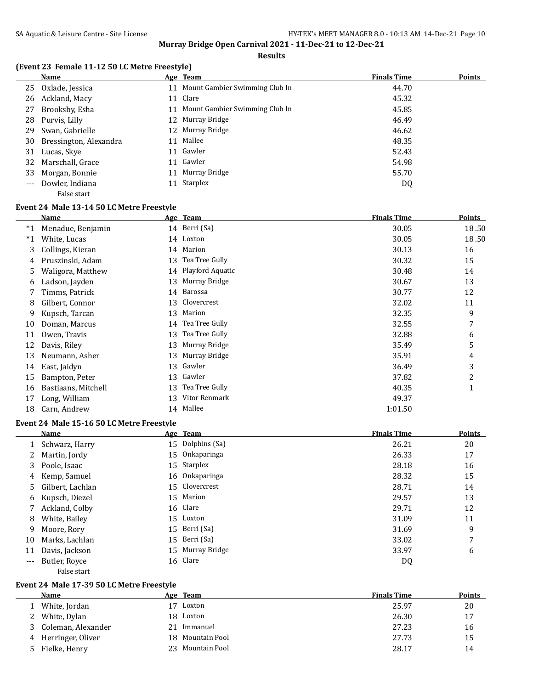#### **Results**

## **(Event 23 Female 11-12 50 LC Metre Freestyle)**

|    | <b>Name</b>            |    | Age Team                          | <b>Finals Time</b> | <b>Points</b> |
|----|------------------------|----|-----------------------------------|--------------------|---------------|
| 25 | Oxlade, Jessica        |    | 11 Mount Gambier Swimming Club In | 44.70              |               |
| 26 | Ackland, Macy          |    | 11 Clare                          | 45.32              |               |
| 27 | Brooksby, Esha         | 11 | Mount Gambier Swimming Club In    | 45.85              |               |
|    | 28 Purvis, Lilly       |    | 12 Murray Bridge                  | 46.49              |               |
| 29 | Swan, Gabrielle        |    | 12 Murray Bridge                  | 46.62              |               |
| 30 | Bressington, Alexandra | 11 | Mallee                            | 48.35              |               |
| 31 | Lucas, Skye            | 11 | Gawler                            | 52.43              |               |
|    | 32 Marschall, Grace    | 11 | Gawler                            | 54.98              |               |
| 33 | Morgan, Bonnie         | 11 | Murray Bridge                     | 55.70              |               |
|    | Dowler, Indiana        | 11 | Starplex                          | DQ                 |               |
|    | False start            |    |                                   |                    |               |

### **Event 24 Male 13-14 50 LC Metre Freestyle**

|       | Name                |    | Age Team         | <b>Finals Time</b> | <b>Points</b> |
|-------|---------------------|----|------------------|--------------------|---------------|
| $^*1$ | Menadue, Benjamin   |    | 14 Berri (Sa)    | 30.05              | 18.50         |
| $^*1$ | White, Lucas        |    | 14 Loxton        | 30.05              | 18.50         |
| 3     | Collings, Kieran    | 14 | Marion           | 30.13              | 16            |
| 4     | Pruszinski, Adam    | 13 | Tea Tree Gully   | 30.32              | 15            |
| 5     | Waligora, Matthew   | 14 | Playford Aquatic | 30.48              | 14            |
| 6     | Ladson, Jayden      | 13 | Murray Bridge    | 30.67              | 13            |
|       | Timms, Patrick      | 14 | Barossa          | 30.77              | 12            |
| 8     | Gilbert, Connor     | 13 | Clovercrest      | 32.02              | 11            |
| 9     | Kupsch, Tarcan      | 13 | Marion           | 32.35              | 9             |
| 10    | Doman, Marcus       | 14 | Tea Tree Gully   | 32.55              | 7             |
| 11    | Owen, Travis        | 13 | Tea Tree Gully   | 32.88              | 6             |
| 12    | Davis, Riley        | 13 | Murray Bridge    | 35.49              | 5             |
| 13    | Neumann, Asher      | 13 | Murray Bridge    | 35.91              | 4             |
| 14    | East, Jaidyn        | 13 | Gawler           | 36.49              | 3             |
| 15    | Bampton, Peter      | 13 | Gawler           | 37.82              | 2             |
| 16    | Bastiaans, Mitchell | 13 | Tea Tree Gully   | 40.35              | T             |
| 17    | Long, William       | 13 | Vitor Renmark    | 49.37              |               |
| 18    | Carn, Andrew        | 14 | Mallee           | 1:01.50            |               |

### **Event 24 Male 15-16 50 LC Metre Freestyle**

|                     | Name               | Age Team         | <b>Finals Time</b> | <b>Points</b> |
|---------------------|--------------------|------------------|--------------------|---------------|
|                     | Schwarz, Harry     | 15 Dolphins (Sa) | 26.21              | 20            |
| 2                   | Martin, Jordy      | 15 Onkaparinga   | 26.33              | 17            |
| 3                   | Poole, Isaac       | 15 Starplex      | 28.18              | 16            |
| 4                   | Kemp, Samuel       | 16 Onkaparinga   | 28.32              | 15            |
|                     | 5 Gilbert, Lachlan | 15 Clovercrest   | 28.71              | 14            |
| 6                   | Kupsch, Diezel     | 15 Marion        | 29.57              | 13            |
| 7                   | Ackland, Colby     | 16 Clare         | 29.71              | 12            |
| 8                   | White, Bailey      | 15 Loxton        | 31.09              | 11            |
| 9                   | Moore, Rory        | 15 Berri (Sa)    | 31.69              | 9             |
| 10                  | Marks, Lachlan     | 15 Berri (Sa)    | 33.02              | 7             |
| 11                  | Davis, Jackson     | 15 Murray Bridge | 33.97              | 6             |
| $\qquad \qquad - -$ | Butler, Royce      | 16 Clare         | DQ                 |               |
|                     | False start        |                  |                    |               |

#### **Event 24 Male 17-39 50 LC Metre Freestyle**

|   | <b>Name</b>         | Age Team            | <b>Finals Time</b> | <b>Points</b> |
|---|---------------------|---------------------|--------------------|---------------|
|   | White, Jordan       | Loxton              | 25.97              | 20            |
|   | 2 White, Dylan      | 18 Loxton           | 26.30              | 17            |
| 3 | Coleman, Alexander  | Immanuel            | 27.23              | 16            |
|   | 4 Herringer, Oliver | 18 Mountain Pool    | 27.73              | 15            |
|   | Fielke, Henry       | Mountain Pool<br>23 | 28.17              | 14            |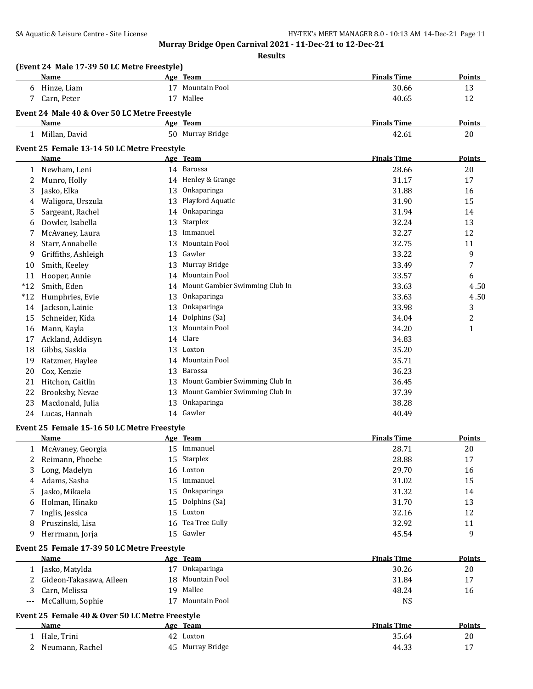**Results**

|              | Name                                            |    | Age Team                          | <b>Finals Time</b> | <b>Points</b> |
|--------------|-------------------------------------------------|----|-----------------------------------|--------------------|---------------|
| 6            | Hinze, Liam                                     |    | 17 Mountain Pool                  | 30.66              | 13            |
| 7            | Carn, Peter                                     |    | 17 Mallee                         | 40.65              | 12            |
|              | Event 24 Male 40 & Over 50 LC Metre Freestyle   |    |                                   |                    |               |
|              | <b>Name</b>                                     |    | Age Team                          | <b>Finals Time</b> | Points        |
|              | 1 Millan, David                                 |    | 50 Murray Bridge                  | 42.61              | 20            |
|              | Event 25 Female 13-14 50 LC Metre Freestyle     |    |                                   |                    |               |
|              | Name                                            |    | Age Team                          | <b>Finals Time</b> | <b>Points</b> |
| 1            | Newham, Leni                                    |    | 14 Barossa                        | 28.66              | 20            |
| 2            | Munro, Holly                                    |    | 14 Henley & Grange                | 31.17              | 17            |
| 3            | Jasko, Elka                                     | 13 | Onkaparinga                       | 31.88              | 16            |
| 4            | Waligora, Urszula                               | 13 | Playford Aquatic                  | 31.90              | 15            |
| 5            | Sargeant, Rachel                                |    | 14 Onkaparinga                    | 31.94              | 14            |
| 6            | Dowler, Isabella                                | 13 | Starplex                          | 32.24              | 13            |
| 7            | McAvaney, Laura                                 | 13 | Immanuel                          | 32.27              | 12            |
| 8            | Starr, Annabelle                                | 13 | <b>Mountain Pool</b>              | 32.75              | 11            |
| 9            | Griffiths, Ashleigh                             | 13 | Gawler                            | 33.22              | 9             |
| 10           | Smith, Keeley                                   | 13 | Murray Bridge                     | 33.49              | 7             |
| 11           | Hooper, Annie                                   |    | 14 Mountain Pool                  | 33.57              | 6             |
|              | Smith, Eden                                     |    | 14 Mount Gambier Swimming Club In |                    |               |
| $*12$        | Humphries, Evie                                 |    | Onkaparinga                       | 33.63              | 4.50          |
| $*12$        |                                                 | 13 | Onkaparinga                       | 33.63              | 4.50          |
| 14           | Jackson, Lainie                                 | 13 |                                   | 33.98              | 3             |
| 15           | Schneider, Kida                                 | 14 | Dolphins (Sa)                     | 34.04              | 2             |
| 16           | Mann, Kayla                                     | 13 | Mountain Pool                     | 34.20              | 1             |
| 17           | Ackland, Addisyn                                | 14 | Clare                             | 34.83              |               |
| 18           | Gibbs, Saskia                                   | 13 | Loxton                            | 35.20              |               |
| 19           | Ratzmer, Haylee                                 | 14 | Mountain Pool                     | 35.71              |               |
| 20           | Cox, Kenzie                                     | 13 | Barossa                           | 36.23              |               |
| 21           | Hitchon, Caitlin                                | 13 | Mount Gambier Swimming Club In    | 36.45              |               |
| 22           | Brooksby, Nevae                                 | 13 | Mount Gambier Swimming Club In    | 37.39              |               |
| 23           | Macdonald, Julia                                | 13 | Onkaparinga                       | 38.28              |               |
| 24           | Lucas, Hannah                                   |    | 14 Gawler                         | 40.49              |               |
|              | Event 25 Female 15-16 50 LC Metre Freestyle     |    |                                   |                    |               |
|              | Name                                            |    | Age Team                          | <b>Finals Time</b> | <b>Points</b> |
|              | 1 McAvaney, Georgia                             |    | 15 Immanuel                       | 28.71              | 20            |
| 2            | Reimann, Phoebe                                 |    | 15 Starplex                       | 28.88              | 17            |
| 3            | Long, Madelyn                                   |    | 16 Loxton                         | 29.70              | 16            |
| 4            | Adams, Sasha                                    | 15 | Immanuel                          | 31.02              | 15            |
| 5            | Jasko, Mikaela                                  | 15 | Onkaparinga                       | 31.32              | 14            |
| 6            | Holman, Hinako                                  | 15 | Dolphins (Sa)                     | 31.70              | 13            |
| 7            | Inglis, Jessica                                 | 15 | Loxton                            | 32.16              | 12            |
| 8            | Pruszinski, Lisa                                | 16 | Tea Tree Gully                    | 32.92              | 11            |
| 9            | Herrmann, Jorja                                 |    | 15 Gawler                         | 45.54              | 9             |
|              | Event 25 Female 17-39 50 LC Metre Freestyle     |    |                                   |                    |               |
|              | <b>Name</b>                                     |    | Age Team                          | <b>Finals Time</b> | Points        |
|              | 1 Jasko, Matylda                                |    | 17 Onkaparinga                    | 30.26              | 20            |
| 2            | Gideon-Takasawa, Aileen                         | 18 | Mountain Pool                     | 31.84              | 17            |
| 3            | Carn, Melissa                                   |    | 19 Mallee                         | 48.24              | 16            |
| $---$        | McCallum, Sophie                                |    | 17 Mountain Pool                  | <b>NS</b>          |               |
|              | Event 25 Female 40 & Over 50 LC Metre Freestyle |    |                                   |                    |               |
|              | Name                                            |    | Age Team                          | <b>Finals Time</b> | <b>Points</b> |
| $\mathbf{1}$ | Hale, Trini                                     |    | 42 Loxton                         | 35.64              | 20            |
| 2            | Neumann, Rachel                                 |    | 45 Murray Bridge                  | 44.33              | 17            |
|              |                                                 |    |                                   |                    |               |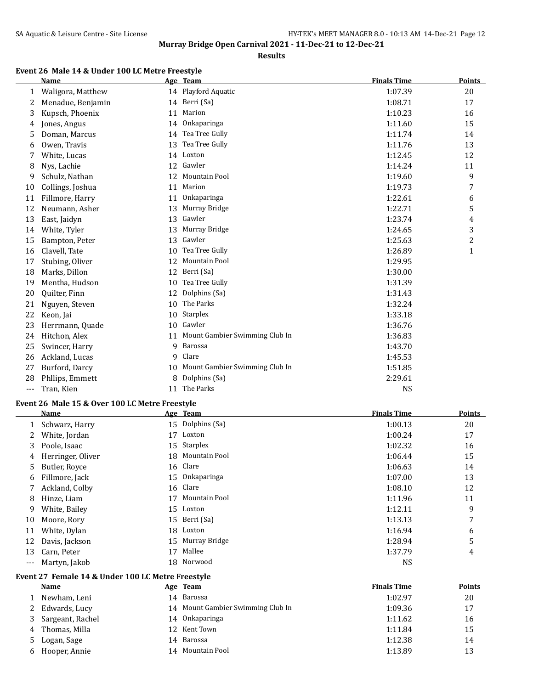#### **Results**

# **Event 26 Male 14 & Under 100 LC Metre Freestyle**

|       | Name              |    | Age Team                       | <b>Finals Time</b> | <b>Points</b> |
|-------|-------------------|----|--------------------------------|--------------------|---------------|
| 1     | Waligora, Matthew |    | 14 Playford Aquatic            | 1:07.39            | 20            |
| 2     | Menadue, Benjamin | 14 | Berri (Sa)                     | 1:08.71            | 17            |
| 3     | Kupsch, Phoenix   | 11 | Marion                         | 1:10.23            | 16            |
| 4     | Jones, Angus      | 14 | Onkaparinga                    | 1:11.60            | 15            |
| 5     | Doman, Marcus     | 14 | Tea Tree Gully                 | 1:11.74            | 14            |
| 6     | Owen, Travis      | 13 | Tea Tree Gully                 | 1:11.76            | 13            |
| 7     | White, Lucas      | 14 | Loxton                         | 1:12.45            | 12            |
| 8     | Nys, Lachie       | 12 | Gawler                         | 1:14.24            | 11            |
| 9     | Schulz, Nathan    | 12 | Mountain Pool                  | 1:19.60            | 9             |
| 10    | Collings, Joshua  | 11 | Marion                         | 1:19.73            | 7             |
| 11    | Fillmore, Harry   | 11 | <b>Onkaparinga</b>             | 1:22.61            | 6             |
| 12    | Neumann, Asher    | 13 | Murray Bridge                  | 1:22.71            | 5             |
| 13    | East, Jaidyn      | 13 | Gawler                         | 1:23.74            | 4             |
| 14    | White, Tyler      | 13 | Murray Bridge                  | 1:24.65            | 3             |
| 15    | Bampton, Peter    | 13 | Gawler                         | 1:25.63            | 2             |
| 16    | Clavell, Tate     | 10 | Tea Tree Gully                 | 1:26.89            | $\mathbf{1}$  |
| 17    | Stubing, Oliver   | 12 | <b>Mountain Pool</b>           | 1:29.95            |               |
| 18    | Marks, Dillon     | 12 | Berri (Sa)                     | 1:30.00            |               |
| 19    | Mentha, Hudson    | 10 | Tea Tree Gully                 | 1:31.39            |               |
| 20    | Quilter, Finn     | 12 | Dolphins (Sa)                  | 1:31.43            |               |
| 21    | Nguyen, Steven    | 10 | The Parks                      | 1:32.24            |               |
| 22    | Keon, Jai         | 10 | Starplex                       | 1:33.18            |               |
| 23    | Herrmann, Quade   | 10 | Gawler                         | 1:36.76            |               |
| 24    | Hitchon, Alex     | 11 | Mount Gambier Swimming Club In | 1:36.83            |               |
| 25    | Swincer, Harry    | 9  | Barossa                        | 1:43.70            |               |
| 26    | Ackland, Lucas    | 9  | Clare                          | 1:45.53            |               |
| 27    | Burford, Darcy    | 10 | Mount Gambier Swimming Club In | 1:51.85            |               |
| 28    | Phllips, Emmett   | 8  | Dolphins (Sa)                  | 2:29.61            |               |
| $---$ | Tran, Kien        | 11 | The Parks                      | NS                 |               |

#### **Event 26 Male 15 & Over 100 LC Metre Freestyle**

|         | <b>Name</b>       |    | Age Team         | <b>Finals Time</b> | <b>Points</b> |
|---------|-------------------|----|------------------|--------------------|---------------|
| 1       | Schwarz, Harry    |    | 15 Dolphins (Sa) | 1:00.13            | 20            |
|         | White, Jordan     | 17 | Loxton           | 1:00.24            | 17            |
| 3       | Poole, Isaac      |    | 15 Starplex      | 1:02.32            | 16            |
| 4       | Herringer, Oliver |    | 18 Mountain Pool | 1:06.44            | 15            |
| 5.      | Butler, Royce     |    | 16 Clare         | 1:06.63            | 14            |
| 6       | Fillmore, Jack    |    | 15 Onkaparinga   | 1:07.00            | 13            |
| 7       | Ackland, Colby    |    | 16 Clare         | 1:08.10            | 12            |
| 8       | Hinze, Liam       | 17 | Mountain Pool    | 1:11.96            | 11            |
| 9       | White, Bailey     |    | 15 Loxton        | 1:12.11            | 9             |
| 10      | Moore, Rory       |    | 15 Berri (Sa)    | 1:13.13            | 7             |
| 11      | White, Dylan      |    | 18 Loxton        | 1:16.94            | 6             |
| 12      | Davis, Jackson    |    | 15 Murray Bridge | 1:28.94            | 5             |
| 13      | Carn, Peter       | 17 | Mallee           | 1:37.79            | 4             |
| $- - -$ | Martyn, Jakob     |    | 18 Norwood       | <b>NS</b>          |               |

#### **Event 27 Female 14 & Under 100 LC Metre Freestyle**

|   | Name             | Age Team                          | <b>Finals Time</b> | <b>Points</b> |
|---|------------------|-----------------------------------|--------------------|---------------|
|   | Newham, Leni     | 14 Barossa                        | 1:02.97            | 20            |
|   | Edwards, Lucy    | 14 Mount Gambier Swimming Club In | 1:09.36            | 17            |
|   | Sargeant, Rachel | 14 Onkaparinga                    | 1:11.62            | 16            |
| 4 | Thomas, Milla    | 12 Kent Town                      | 1:11.84            | 15            |
| 5 | Logan, Sage      | 14 Barossa                        | 1:12.38            | 14            |
| h | Hooper, Annie    | 14 Mountain Pool                  | 1:13.89            | 13            |
|   |                  |                                   |                    |               |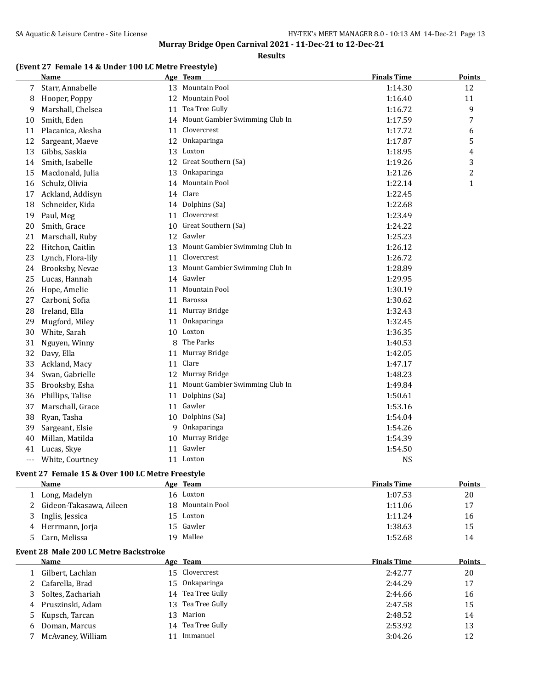**Results**

## **(Event 27 Female 14 & Under 100 LC Metre Freestyle)**

|     | <b>Name</b>       |    | Age Team                          | <b>Finals Time</b> | Points       |
|-----|-------------------|----|-----------------------------------|--------------------|--------------|
| 7   | Starr, Annabelle  |    | 13 Mountain Pool                  | 1:14.30            | 12           |
| 8   | Hooper, Poppy     | 12 | <b>Mountain Pool</b>              | 1:16.40            | 11           |
| 9   | Marshall, Chelsea |    | 11 Tea Tree Gully                 | 1:16.72            | 9            |
| 10  | Smith, Eden       |    | 14 Mount Gambier Swimming Club In | 1:17.59            | 7            |
| 11  | Placanica, Alesha | 11 | Clovercrest                       | 1:17.72            | 6            |
| 12  | Sargeant, Maeve   | 12 | Onkaparinga                       | 1:17.87            | 5            |
| 13  | Gibbs, Saskia     | 13 | Loxton                            | 1:18.95            | 4            |
| 14  | Smith, Isabelle   |    | 12 Great Southern (Sa)            | 1:19.26            | 3            |
| 15  | Macdonald, Julia  | 13 | Onkaparinga                       | 1:21.26            | 2            |
| 16  | Schulz, Olivia    | 14 | Mountain Pool                     | 1:22.14            | $\mathbf{1}$ |
| 17  | Ackland, Addisyn  | 14 | Clare                             | 1:22.45            |              |
| 18  | Schneider, Kida   |    | 14 Dolphins (Sa)                  | 1:22.68            |              |
| 19  | Paul, Meg         | 11 | Clovercrest                       | 1:23.49            |              |
| 20  | Smith, Grace      | 10 | Great Southern (Sa)               | 1:24.22            |              |
| 21  | Marschall, Ruby   | 12 | Gawler                            | 1:25.23            |              |
| 22  | Hitchon, Caitlin  | 13 | Mount Gambier Swimming Club In    | 1:26.12            |              |
| 23  | Lynch, Flora-lily |    | 11 Clovercrest                    | 1:26.72            |              |
| 24  | Brooksby, Nevae   | 13 | Mount Gambier Swimming Club In    | 1:28.89            |              |
| 25  | Lucas, Hannah     |    | 14 Gawler                         | 1:29.95            |              |
| 26  | Hope, Amelie      | 11 | Mountain Pool                     | 1:30.19            |              |
| 27  | Carboni, Sofia    |    | 11 Barossa                        | 1:30.62            |              |
| 28  | Ireland, Ella     | 11 | Murray Bridge                     | 1:32.43            |              |
| 29  | Mugford, Miley    | 11 | Onkaparinga                       | 1:32.45            |              |
| 30  | White, Sarah      |    | 10 Loxton                         | 1:36.35            |              |
| 31  | Nguyen, Winny     |    | 8 The Parks                       | 1:40.53            |              |
| 32  | Davy, Ella        | 11 | Murray Bridge                     | 1:42.05            |              |
| 33  | Ackland, Macy     |    | 11 Clare                          | 1:47.17            |              |
| 34  | Swan, Gabrielle   | 12 | Murray Bridge                     | 1:48.23            |              |
| 35  | Brooksby, Esha    | 11 | Mount Gambier Swimming Club In    | 1:49.84            |              |
| 36  | Phillips, Talise  | 11 | Dolphins (Sa)                     | 1:50.61            |              |
| 37  | Marschall, Grace  |    | 11 Gawler                         | 1:53.16            |              |
| 38  | Ryan, Tasha       |    | 10 Dolphins (Sa)                  | 1:54.04            |              |
| 39  | Sargeant, Elsie   | 9  | Onkaparinga                       | 1:54.26            |              |
| 40  | Millan, Matilda   |    | 10 Murray Bridge                  | 1:54.39            |              |
| 41  | Lucas, Skye       |    | 11 Gawler                         | 1:54.50            |              |
| --- | White, Courtney   |    | 11 Loxton                         | <b>NS</b>          |              |

# **Event 27 Female 15 & Over 100 LC Metre Freestyle**

|   | <b>Name</b>             |     | Age Team         | <b>Finals Time</b> | <b>Points</b> |
|---|-------------------------|-----|------------------|--------------------|---------------|
|   | Long, Madelyn           |     | 16 Loxton        | 1:07.53            | 20            |
| 2 | Gideon-Takasawa, Aileen |     | 18 Mountain Pool | 1:11.06            | 17            |
|   | Inglis, Jessica         | 15. | Loxton           | 1:11.24            | 16            |
| 4 | Herrmann, Jorja         |     | 15 Gawler        | 1:38.63            | 15            |
|   | Carn, Melissa           | 19. | Mallee           | 1:52.68            | 14            |
|   |                         |     |                  |                    |               |

#### **Event 28 Male 200 LC Metre Backstroke**

|   | Name              |     | Age Team          | <b>Finals Time</b> | <b>Points</b> |
|---|-------------------|-----|-------------------|--------------------|---------------|
|   | Gilbert, Lachlan  |     | 15 Clovercrest    | 2:42.77            | 20            |
|   | Cafarella, Brad   | 15. | Onkaparinga       | 2:44.29            | 17            |
|   | Soltes, Zachariah |     | 14 Tea Tree Gully | 2:44.66            | 16            |
| 4 | Pruszinski, Adam  | 13. | Tea Tree Gully    | 2:47.58            | 15            |
|   | 5 Kupsch, Tarcan  |     | 13 Marion         | 2:48.52            | 14            |
| 6 | Doman, Marcus     | 14  | Tea Tree Gully    | 2:53.92            | 13            |
|   | McAvaney, William |     | Immanuel          | 3:04.26            | 12            |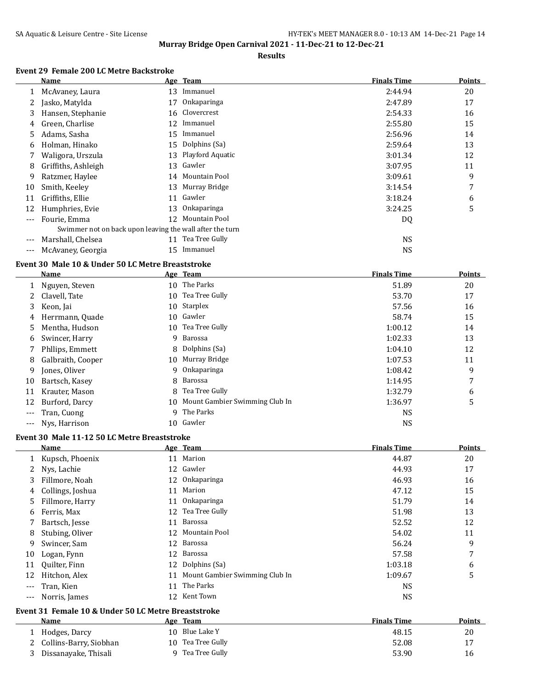#### **Results**

## **Event 29 Female 200 LC Metre Backstroke**

|     | Name                                                     |    | Age Team            | <b>Finals Time</b> | <b>Points</b> |
|-----|----------------------------------------------------------|----|---------------------|--------------------|---------------|
| 1   | McAvaney, Laura                                          | 13 | Immanuel            | 2:44.94            | 20            |
|     | Jasko, Matylda                                           | 17 | <b>Onkaparinga</b>  | 2:47.89            | 17            |
| 3.  | Hansen, Stephanie                                        | 16 | Clovercrest         | 2:54.33            | 16            |
| 4   | Green, Charlise                                          | 12 | Immanuel            | 2:55.80            | 15            |
| 5.  | Adams, Sasha                                             | 15 | Immanuel            | 2:56.96            | 14            |
| 6   | Holman, Hinako                                           | 15 | Dolphins (Sa)       | 2:59.64            | 13            |
|     | Waligora, Urszula                                        |    | 13 Playford Aquatic | 3:01.34            | 12            |
| 8   | Griffiths, Ashleigh                                      |    | 13 Gawler           | 3:07.95            | 11            |
| 9   | Ratzmer, Haylee                                          |    | 14 Mountain Pool    | 3:09.61            | 9             |
| 10  | Smith, Keeley                                            | 13 | Murray Bridge       | 3:14.54            | 7             |
| 11  | Griffiths, Ellie                                         | 11 | Gawler              | 3:18.24            | 6             |
| 12  | Humphries, Evie                                          | 13 | <b>Onkaparinga</b>  | 3:24.25            | 5             |
|     | Fourie, Emma                                             |    | 12 Mountain Pool    | DQ                 |               |
|     | Swimmer not on back upon leaving the wall after the turn |    |                     |                    |               |
|     | Marshall, Chelsea                                        | 11 | Tea Tree Gully      | <b>NS</b>          |               |
| --- | McAvaney, Georgia                                        | 15 | Immanuel            | <b>NS</b>          |               |

## **Event 30 Male 10 & Under 50 LC Metre Breaststroke**

L

 $\overline{\phantom{0}}$ 

|       | <b>Name</b>       |    | Age Team                       | <b>Finals Time</b> | <b>Points</b> |
|-------|-------------------|----|--------------------------------|--------------------|---------------|
|       | Nguyen, Steven    | 10 | The Parks                      | 51.89              | 20            |
|       | Clavell, Tate     | 10 | Tea Tree Gully                 | 53.70              | 17            |
| 3     | Keon, Jai         |    | 10 Starplex                    | 57.56              | 16            |
| 4     | Herrmann, Quade   | 10 | Gawler                         | 58.74              | 15            |
| 5.    | Mentha, Hudson    |    | 10 Tea Tree Gully              | 1:00.12            | 14            |
| 6     | Swincer, Harry    |    | 9 Barossa                      | 1:02.33            | 13            |
|       | Phllips, Emmett   |    | 8 Dolphins (Sa)                | 1:04.10            | 12            |
| 8     | Galbraith, Cooper | 10 | Murray Bridge                  | 1:07.53            | 11            |
| 9     | Jones, Oliver     |    | 9 Onkaparinga                  | 1:08.42            | 9             |
| 10    | Bartsch, Kasey    |    | 8 Barossa                      | 1:14.95            | 7             |
| 11    | Krauter, Mason    | 8  | Tea Tree Gully                 | 1:32.79            | 6             |
| 12    | Burford, Darcy    | 10 | Mount Gambier Swimming Club In | 1:36.97            | 5             |
| $---$ | Tran, Cuong       |    | 9 The Parks                    | <b>NS</b>          |               |
|       | Nys, Harrison     | 10 | Gawler                         | <b>NS</b>          |               |

## **Event 30 Male 11-12 50 LC Metre Breaststroke**

| Name             |    |           | <b>Finals Time</b>                                                                                                                                                                  | <b>Points</b> |
|------------------|----|-----------|-------------------------------------------------------------------------------------------------------------------------------------------------------------------------------------|---------------|
| Kupsch, Phoenix  | 11 |           | 44.87                                                                                                                                                                               | 20            |
| Nys, Lachie      | 12 |           | 44.93                                                                                                                                                                               | 17            |
| Fillmore, Noah   | 12 |           | 46.93                                                                                                                                                                               | 16            |
| Collings, Joshua | 11 | Marion    | 47.12                                                                                                                                                                               | 15            |
| Fillmore, Harry  | 11 |           | 51.79                                                                                                                                                                               | 14            |
| Ferris, Max      | 12 |           | 51.98                                                                                                                                                                               | 13            |
| Bartsch, Jesse   | 11 |           | 52.52                                                                                                                                                                               | 12            |
| Stubing, Oliver  | 12 |           | 54.02                                                                                                                                                                               | 11            |
| Swincer, Sam     | 12 |           | 56.24                                                                                                                                                                               | 9             |
| Logan, Fynn      | 12 | Barossa   | 57.58                                                                                                                                                                               | 7             |
| Quilter, Finn    | 12 |           | 1:03.18                                                                                                                                                                             | 6             |
| Hitchon, Alex    | 11 |           | 1:09.67                                                                                                                                                                             | 5             |
| Tran, Kien       | 11 | The Parks | <b>NS</b>                                                                                                                                                                           |               |
| Norris, James    | 12 |           | <b>NS</b>                                                                                                                                                                           |               |
|                  |    |           | Age Team<br>Marion<br>Gawler<br>Onkaparinga<br>Onkaparinga<br>Tea Tree Gully<br>Barossa<br>Mountain Pool<br>Barossa<br>Dolphins (Sa)<br>Mount Gambier Swimming Club In<br>Kent Town |               |

#### **Event 31 Female 10 & Under 50 LC Metre Breaststroke**

| Name                     | Age Team          | <b>Finals Time</b> | <b>Points</b> |
|--------------------------|-------------------|--------------------|---------------|
| Hodges, Darcy            | 10 Blue Lake Y    | 48.15              | 20            |
| 2 Collins-Barry, Siobhan | 10 Tea Tree Gully | 52.08              |               |
| Dissanayake, Thisali     | Tea Tree Gully    | 53.90              | 16            |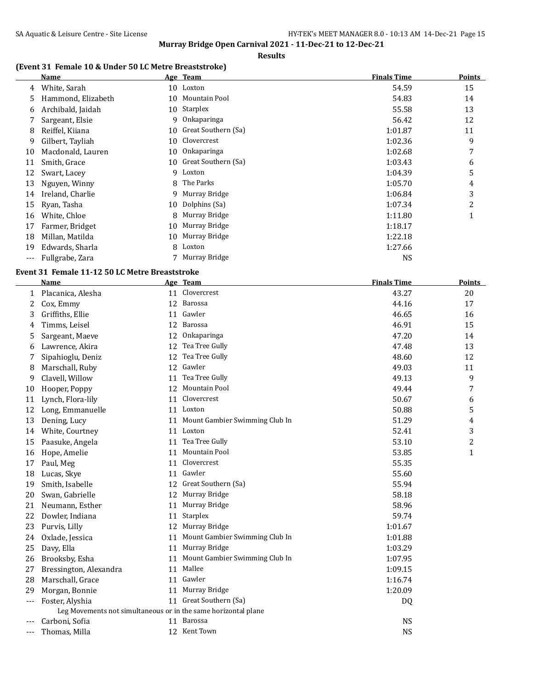#### **Results**

# **(Event 31 Female 10 & Under 50 LC Metre Breaststroke)**

|     | Name               |    | Age Team            | <b>Finals Time</b> | <b>Points</b> |
|-----|--------------------|----|---------------------|--------------------|---------------|
| 4   | White, Sarah       |    | 10 Loxton           | 54.59              | 15            |
| 5   | Hammond, Elizabeth | 10 | Mountain Pool       | 54.83              | 14            |
| 6   | Archibald, Jaidah  | 10 | Starplex            | 55.58              | 13            |
|     | Sargeant, Elsie    | 9  | Onkaparinga         | 56.42              | 12            |
| 8   | Reiffel, Kiiana    | 10 | Great Southern (Sa) | 1:01.87            | 11            |
| 9   | Gilbert, Tayliah   | 10 | Clovercrest         | 1:02.36            | 9             |
| 10  | Macdonald, Lauren  | 10 | Onkaparinga         | 1:02.68            | 7             |
| 11  | Smith, Grace       | 10 | Great Southern (Sa) | 1:03.43            | 6             |
| 12  | Swart, Lacey       | 9  | Loxton              | 1:04.39            | 5             |
| 13  | Nguyen, Winny      | 8  | The Parks           | 1:05.70            | 4             |
| 14  | Ireland, Charlie   | 9  | Murray Bridge       | 1:06.84            | 3             |
| 15  | Ryan, Tasha        | 10 | Dolphins (Sa)       | 1:07.34            | 2             |
| 16  | White, Chloe       | 8  | Murray Bridge       | 1:11.80            | 1             |
| 17  | Farmer, Bridget    | 10 | Murray Bridge       | 1:18.17            |               |
| 18  | Millan, Matilda    | 10 | Murray Bridge       | 1:22.18            |               |
| 19  | Edwards, Sharla    | 8  | Loxton              | 1:27.66            |               |
| --- | Fullgrabe, Zara    |    | Murray Bridge       | <b>NS</b>          |               |

### **Event 31 Female 11-12 50 LC Metre Breaststroke**

 $\overline{a}$ 

|     | Name                                                           |    | Age Team                       | <b>Finals Time</b> | <b>Points</b> |
|-----|----------------------------------------------------------------|----|--------------------------------|--------------------|---------------|
| 1   | Placanica, Alesha                                              | 11 | Clovercrest                    | 43.27              | 20            |
| 2   | Cox, Emmy                                                      | 12 | Barossa                        | 44.16              | 17            |
| 3   | Griffiths, Ellie                                               | 11 | Gawler                         | 46.65              | 16            |
| 4   | Timms, Leisel                                                  | 12 | Barossa                        | 46.91              | 15            |
| 5   | Sargeant, Maeve                                                | 12 | Onkaparinga                    | 47.20              | 14            |
| 6   | Lawrence, Akira                                                | 12 | Tea Tree Gully                 | 47.48              | 13            |
|     | Sipahioglu, Deniz                                              | 12 | Tea Tree Gully                 | 48.60              | 12            |
| 8   | Marschall, Ruby                                                | 12 | Gawler                         | 49.03              | 11            |
| 9   | Clavell, Willow                                                | 11 | Tea Tree Gully                 | 49.13              | 9             |
| 10  | Hooper, Poppy                                                  | 12 | Mountain Pool                  | 49.44              | 7             |
| 11  | Lynch, Flora-lily                                              | 11 | Clovercrest                    | 50.67              | 6             |
| 12  | Long, Emmanuelle                                               |    | 11 Loxton                      | 50.88              | 5             |
| 13  | Dening, Lucy                                                   | 11 | Mount Gambier Swimming Club In | 51.29              | 4             |
| 14  | White, Courtney                                                |    | 11 Loxton                      | 52.41              | 3             |
| 15  | Paasuke, Angela                                                | 11 | Tea Tree Gully                 | 53.10              | 2             |
| 16  | Hope, Amelie                                                   | 11 | Mountain Pool                  | 53.85              | $\mathbf{1}$  |
| 17  | Paul, Meg                                                      | 11 | Clovercrest                    | 55.35              |               |
| 18  | Lucas, Skye                                                    | 11 | Gawler                         | 55.60              |               |
| 19  | Smith, Isabelle                                                | 12 | Great Southern (Sa)            | 55.94              |               |
| 20  | Swan, Gabrielle                                                | 12 | Murray Bridge                  | 58.18              |               |
| 21  | Neumann, Esther                                                | 11 | Murray Bridge                  | 58.96              |               |
| 22  | Dowler, Indiana                                                | 11 | Starplex                       | 59.74              |               |
| 23  | Purvis, Lilly                                                  | 12 | Murray Bridge                  | 1:01.67            |               |
| 24  | Oxlade, Jessica                                                | 11 | Mount Gambier Swimming Club In | 1:01.88            |               |
| 25  | Davy, Ella                                                     | 11 | Murray Bridge                  | 1:03.29            |               |
| 26  | Brooksby, Esha                                                 | 11 | Mount Gambier Swimming Club In | 1:07.95            |               |
| 27  | Bressington, Alexandra                                         | 11 | Mallee                         | 1:09.15            |               |
| 28  | Marschall, Grace                                               | 11 | Gawler                         | 1:16.74            |               |
| 29  | Morgan, Bonnie                                                 | 11 | Murray Bridge                  | 1:20.09            |               |
| --- | Foster, Alyshia                                                |    | 11 Great Southern (Sa)         | DQ                 |               |
|     | Leg Movements not simultaneous or in the same horizontal plane |    |                                |                    |               |
|     | Carboni, Sofia                                                 |    | 11 Barossa                     | <b>NS</b>          |               |
|     | Thomas, Milla                                                  |    | 12 Kent Town                   | <b>NS</b>          |               |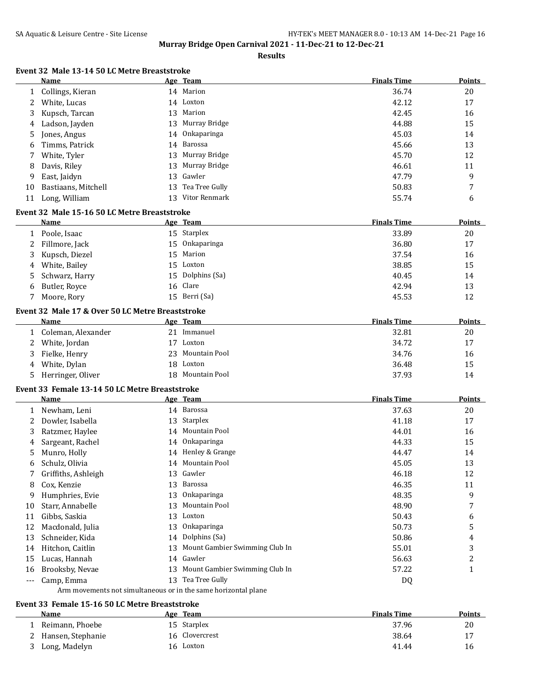**Results**

## **Event 32 Male 13-14 50 LC Metre Breaststroke**

|              | Name                                             |    | Age Team                                                       | <b>Finals Time</b> | Points        |
|--------------|--------------------------------------------------|----|----------------------------------------------------------------|--------------------|---------------|
| 1            | Collings, Kieran                                 |    | 14 Marion                                                      | 36.74              | 20            |
| 2            | White, Lucas                                     |    | 14 Loxton                                                      | 42.12              | 17            |
| 3            | Kupsch, Tarcan                                   |    | 13 Marion                                                      | 42.45              | 16            |
| 4            | Ladson, Jayden                                   | 13 | Murray Bridge                                                  | 44.88              | 15            |
| 5            | Jones, Angus                                     | 14 | Onkaparinga                                                    | 45.03              | 14            |
| 6            | Timms, Patrick                                   | 14 | Barossa                                                        | 45.66              | 13            |
| 7            | White, Tyler                                     | 13 | Murray Bridge                                                  | 45.70              | 12            |
| 8            | Davis, Riley                                     | 13 | Murray Bridge                                                  | 46.61              | 11            |
| 9            | East, Jaidyn                                     | 13 | Gawler                                                         | 47.79              | 9             |
| 10           | Bastiaans, Mitchell                              | 13 | Tea Tree Gully                                                 | 50.83              | 7             |
| 11           | Long, William                                    |    | 13 Vitor Renmark                                               | 55.74              | 6             |
|              |                                                  |    |                                                                |                    |               |
|              | Event 32 Male 15-16 50 LC Metre Breaststroke     |    |                                                                |                    |               |
|              | Name                                             |    | Age Team                                                       | <b>Finals Time</b> | Points        |
| $\mathbf{1}$ | Poole, Isaac                                     |    | 15 Starplex                                                    | 33.89              | 20            |
| 2            | Fillmore, Jack                                   | 15 | Onkaparinga                                                    | 36.80              | 17            |
| 3            | Kupsch, Diezel                                   | 15 | Marion                                                         | 37.54              | 16            |
| 4            | White, Bailey                                    |    | 15 Loxton                                                      | 38.85              | 15            |
| 5            | Schwarz, Harry                                   |    | 15 Dolphins (Sa)                                               | 40.45              | 14            |
| 6            | Butler, Royce                                    | 16 | Clare                                                          | 42.94              | 13            |
| 7            | Moore, Rory                                      |    | 15 Berri (Sa)                                                  | 45.53              | 12            |
|              | Event 32 Male 17 & Over 50 LC Metre Breaststroke |    |                                                                |                    |               |
|              | <b>Name</b>                                      |    | Age Team                                                       | <b>Finals Time</b> | <b>Points</b> |
|              |                                                  |    | 21 Immanuel                                                    | 32.81              |               |
| 1            | Coleman, Alexander                               |    |                                                                |                    | 20            |
| 2            | White, Jordan                                    |    | 17 Loxton                                                      | 34.72              | 17            |
| 3            | Fielke, Henry                                    | 23 | Mountain Pool                                                  | 34.76              | 16            |
| 4            | White, Dylan                                     |    | 18 Loxton                                                      | 36.48              | 15            |
| 5            | Herringer, Oliver                                |    | 18 Mountain Pool                                               | 37.93              | 14            |
|              | Event 33 Female 13-14 50 LC Metre Breaststroke   |    |                                                                |                    |               |
|              | Name                                             |    | Age Team                                                       | <b>Finals Time</b> | <b>Points</b> |
| 1            | Newham, Leni                                     |    | 14 Barossa                                                     | 37.63              | 20            |
| 2            | Dowler, Isabella                                 |    | 13 Starplex                                                    | 41.18              | 17            |
| 3            | Ratzmer, Haylee                                  |    | 14 Mountain Pool                                               | 44.01              | 16            |
| 4            | Sargeant, Rachel                                 | 14 | Onkaparinga                                                    | 44.33              | 15            |
| 5            | Munro, Holly                                     |    | 14 Henley & Grange                                             | 44.47              | 14            |
| 6            | Schulz, Olivia                                   |    | 14 Mountain Pool                                               | 45.05              | 13            |
| 7            | Griffiths, Ashleigh                              |    | 13 Gawler                                                      | 46.18              | 12            |
| 8            | Cox, Kenzie                                      |    | 13 Barossa                                                     | 46.35              | 11            |
| 9            | Humphries, Evie                                  | 13 | Onkaparinga                                                    | 48.35              | 9             |
| 10           | Starr, Annabelle                                 | 13 | Mountain Pool                                                  | 48.90              | 7             |
| 11           | Gibbs, Saskia                                    | 13 | Loxton                                                         | 50.43              | 6             |
| 12           | Macdonald, Julia                                 | 13 | Onkaparinga                                                    | 50.73              | 5             |
| 13           | Schneider, Kida                                  | 14 | Dolphins (Sa)                                                  | 50.86              |               |
|              |                                                  |    | Mount Gambier Swimming Club In                                 |                    | 4             |
| 14           | Hitchon, Caitlin                                 | 13 |                                                                | 55.01              | 3             |
| 15           | Lucas, Hannah                                    | 14 | Gawler                                                         | 56.63              | 2             |
| 16           | Brooksby, Nevae                                  |    | 13 Mount Gambier Swimming Club In                              | 57.22              | 1             |
| ---          | Camp, Emma                                       |    | 13 Tea Tree Gully                                              | DQ                 |               |
|              |                                                  |    | Arm movements not simultaneous or in the same horizontal plane |                    |               |

# **Event 33 Female 15-16 50 LC Metre Breaststroke**

 $\overline{a}$ 

| Name                | Age | Team           | <b>Finals Time</b> | Points |
|---------------------|-----|----------------|--------------------|--------|
| Reimann, Phoebe     |     | 15 Starplex    | 37.96              | 20     |
| 2 Hansen, Stephanie |     | 16 Clovercrest | 38.64              |        |
| Long, Madelyn       |     | 16 Loxton      | 41.44              | 16     |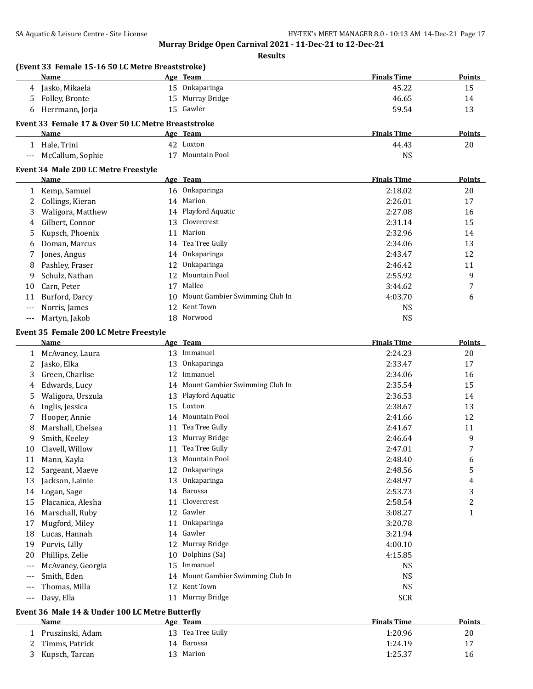**Results**

|       | (Event 33 Female 15-16 50 LC Metre Breaststroke)   |    |                                   |                    |               |
|-------|----------------------------------------------------|----|-----------------------------------|--------------------|---------------|
|       | Name                                               |    | Age Team                          | <b>Finals Time</b> | Points        |
| 4     | Jasko, Mikaela                                     |    | 15 Onkaparinga                    | 45.22              | 15            |
| 5     | Folley, Bronte                                     |    | 15 Murray Bridge                  | 46.65              | 14            |
| 6     | Herrmann, Jorja                                    |    | 15 Gawler                         | 59.54              | 13            |
|       | Event 33 Female 17 & Over 50 LC Metre Breaststroke |    |                                   |                    |               |
|       | Name                                               |    | Age Team                          | <b>Finals Time</b> | <b>Points</b> |
|       | 1 Hale, Trini                                      |    | 42 Loxton                         | 44.43              | 20            |
| $---$ | McCallum, Sophie                                   |    | 17 Mountain Pool                  | <b>NS</b>          |               |
|       | Event 34 Male 200 LC Metre Freestyle               |    |                                   |                    |               |
|       | Name                                               |    | Age Team                          | <b>Finals Time</b> | <b>Points</b> |
| 1     | Kemp, Samuel                                       |    | 16 Onkaparinga                    | 2:18.02            | 20            |
| 2     | Collings, Kieran                                   | 14 | Marion                            | 2:26.01            | 17            |
| 3     | Waligora, Matthew                                  | 14 | Playford Aquatic                  | 2:27.08            | 16            |
| 4     | Gilbert, Connor                                    | 13 | Clovercrest                       | 2:31.14            | 15            |
| 5     | Kupsch, Phoenix                                    | 11 | Marion                            | 2:32.96            | 14            |
| 6     | Doman, Marcus                                      | 14 | Tea Tree Gully                    | 2:34.06            | 13            |
| 7     | Jones, Angus                                       |    | 14 Onkaparinga                    | 2:43.47            | 12            |
| 8     | Pashley, Fraser                                    | 12 | Onkaparinga                       | 2:46.42            | 11            |
| 9     | Schulz, Nathan                                     | 12 | Mountain Pool                     | 2:55.92            | 9             |
| 10    | Carn, Peter                                        | 17 | Mallee                            | 3:44.62            | 7             |
| 11    | Burford, Darcy                                     | 10 | Mount Gambier Swimming Club In    | 4:03.70            | 6             |
|       | Norris, James                                      | 12 | Kent Town                         | NS                 |               |
| $---$ | Martyn, Jakob                                      | 18 | Norwood                           | <b>NS</b>          |               |
|       | Event 35 Female 200 LC Metre Freestyle             |    |                                   |                    |               |
|       | Name                                               |    | Age Team                          | <b>Finals Time</b> | <b>Points</b> |
|       |                                                    |    |                                   |                    |               |
|       |                                                    |    |                                   |                    |               |
| 1     | McAvaney, Laura                                    |    | 13 Immanuel                       | 2:24.23            | 20            |
| 2     | Jasko, Elka                                        | 13 | Onkaparinga                       | 2:33.47            | 17            |
| 3     | Green, Charlise                                    |    | 12 Immanuel                       | 2:34.06            | 16            |
| 4     | Edwards, Lucy                                      |    | 14 Mount Gambier Swimming Club In | 2:35.54            | 15            |
| 5     | Waligora, Urszula                                  |    | 13 Playford Aquatic               | 2:36.53            | 14            |
| 6     | Inglis, Jessica                                    | 15 | Loxton                            | 2:38.67            | 13            |
| 7     | Hooper, Annie                                      | 14 | Mountain Pool                     | 2:41.66            | 12            |
| 8     | Marshall, Chelsea                                  | 11 | Tea Tree Gully                    | 2:41.67            | 11            |
| 9     | Smith, Keeley                                      |    | 13 Murray Bridge                  | 2:46.64            | 9             |
| 10    | Clavell, Willow                                    |    | 11 Tea Tree Gully                 | 2:47.01            | 7             |
| 11    | Mann, Kayla                                        |    | 13 Mountain Pool                  | 2:48.40            | 6             |
| 12    | Sargeant, Maeve                                    | 12 | Onkaparinga                       | 2:48.56            | 5             |
| 13    | Jackson, Lainie                                    | 13 | Onkaparinga                       | 2:48.97            | 4             |
| 14    | Logan, Sage                                        | 14 | Barossa                           | 2:53.73            | 3             |
| 15    | Placanica, Alesha                                  | 11 | Clovercrest                       | 2:58.54            | 2             |
| 16    | Marschall, Ruby                                    |    | 12 Gawler                         | 3:08.27            | $\mathbf{1}$  |
| 17    | Mugford, Miley                                     | 11 | Onkaparinga                       | 3:20.78            |               |
| 18    | Lucas, Hannah                                      |    | 14 Gawler                         | 3:21.94            |               |
| 19    | Purvis, Lilly                                      |    | 12 Murray Bridge                  | 4:00.10            |               |
| 20    | Phillips, Zelie                                    | 10 | Dolphins (Sa)                     | 4:15.85            |               |
| ---   | McAvaney, Georgia                                  | 15 | Immanuel                          | NS                 |               |
| ---   | Smith, Eden                                        | 14 | Mount Gambier Swimming Club In    | NS                 |               |
| $---$ | Thomas, Milla<br>Davy, Ella                        | 12 | Kent Town<br>11 Murray Bridge     | NS<br><b>SCR</b>   |               |

#### **Event 36 Male 14 & Under 100 LC Metre Butterfly**

| Name             | Team<br>Age       | <b>Finals Time</b> | <b>Points</b> |
|------------------|-------------------|--------------------|---------------|
| Pruszinski, Adam | 13 Tea Tree Gully | 1:20.96            | 20            |
| Timms, Patrick   | 14 Barossa        | 1:24.19            | 17            |
| Kupsch, Tarcan   | Marion            | 1:25.37            | 16            |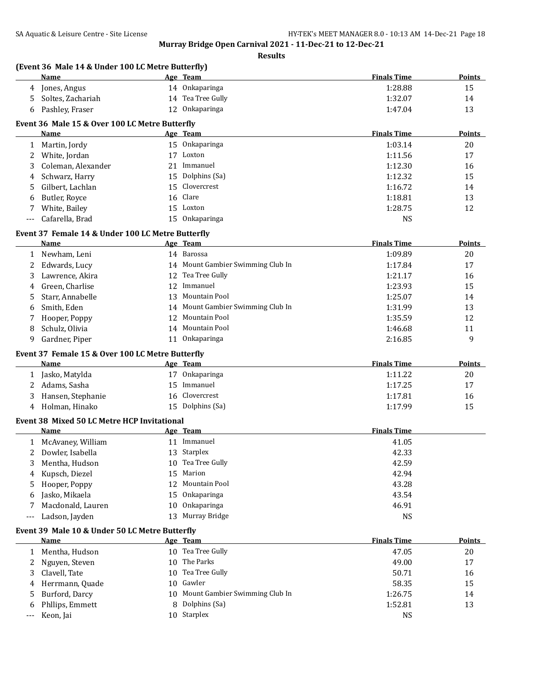**Results**

### **(Event 36 Male 14 & Under 100 LC Metre Butterfly)**

|                                                | Name              |     | Age Team           | <b>Finals Time</b> | <b>Points</b> |
|------------------------------------------------|-------------------|-----|--------------------|--------------------|---------------|
| Δ                                              | Jones, Angus      | 14  | <b>Onkaparinga</b> | 1:28.88            | 15            |
|                                                | Soltes, Zachariah | 14  | Tea Tree Gully     | 1:32.07            | 14            |
|                                                | Pashley, Fraser   | 12. | Onkaparinga        | 1:47.04            | 13            |
| Event 36 Male 15 & Over 100 LC Metre Butterfly |                   |     |                    |                    |               |
|                                                | Name              |     | Age Team           | <b>Finals Time</b> | <b>Points</b> |

|    | .                  |    |                  | .  .    | .  |
|----|--------------------|----|------------------|---------|----|
|    | Martin, Jordy      |    | 15 Onkaparinga   | 1:03.14 | 20 |
|    | White, Jordan      | 17 | Loxton           | 1:11.56 | 17 |
| 3  | Coleman, Alexander | 21 | Immanuel         | 1:12.30 | 16 |
| 4  | Schwarz, Harry     |    | 15 Dolphins (Sa) | 1:12.32 | 15 |
| 5. | Gilbert, Lachlan   |    | 15 Clovercrest   | 1:16.72 | 14 |
| 6  | Butler, Rovce      |    | 16 Clare         | 1:18.81 | 13 |
|    | White, Bailey      |    | 15 Loxton        | 1:28.75 | 12 |
|    | Cafarella, Brad    |    | 15 Onkaparinga   | NS      |    |

#### **Event 37 Female 14 & Under 100 LC Metre Butterfly**

|   | Name               |     | <u>Age Team</u>                   | <b>Finals Time</b> | <b>Points</b> |
|---|--------------------|-----|-----------------------------------|--------------------|---------------|
|   | Newham, Leni       |     | 14 Barossa                        | 1:09.89            | 20            |
|   | 2 Edwards, Lucy    |     | 14 Mount Gambier Swimming Club In | 1:17.84            | 17            |
|   | Lawrence, Akira    |     | 12 Tea Tree Gully                 | 1:21.17            | 16            |
|   | 4 Green, Charlise  |     | 12 Immanuel                       | 1:23.93            | 15            |
|   | 5 Starr, Annabelle | 13. | Mountain Pool                     | 1:25.07            | 14            |
| 6 | Smith, Eden        |     | 14 Mount Gambier Swimming Club In | 1:31.99            | 13            |
|   | Hooper, Poppy      |     | 12 Mountain Pool                  | 1:35.59            | 12            |
| 8 | Schulz, Olivia     | 14  | Mountain Pool                     | 1:46.68            | 11            |
| 9 | Gardner, Piper     |     | Onkaparinga                       | 2:16.85            | 9             |

# **Event 37 Female 15 & Over 100 LC Metre Butterfly**

| Name         | Age                   | <b>Team</b>    | <b>Finals Time</b> | <b>Points</b> |
|--------------|-----------------------|----------------|--------------------|---------------|
|              | Jasko, Matylda        | Onkaparinga    | 1:11.22            | 20            |
| Adams, Sasha |                       | Immanuel       | 1:17.25            | 17            |
|              | Hansen, Stephanie     | 16 Clovercrest | 1:17.81            | 16            |
| Δ            | Holman, Hinako<br>15. | Dolphins (Sa)  | 1:17.99            | 15            |

#### **Event 38 Mixed 50 LC Metre HCP Invitational**

|   | <b>Name</b>       |    | Age Team          | <b>Finals Time</b> |
|---|-------------------|----|-------------------|--------------------|
|   | McAvaney, William | 11 | Immanuel          | 41.05              |
| 2 | Dowler, Isabella  |    | 13 Starplex       | 42.33              |
| 3 | Mentha, Hudson    |    | 10 Tea Tree Gully | 42.59              |
|   | 4 Kupsch, Diezel  |    | 15 Marion         | 42.94              |
|   | 5 Hooper, Poppy   |    | 12 Mountain Pool  | 43.28              |
| 6 | Jasko, Mikaela    |    | 15 Onkaparinga    | 43.54              |
|   | Macdonald, Lauren |    | 10 Onkaparinga    | 46.91              |
|   | Ladson, Jayden    |    | 13 Murray Bridge  | <b>NS</b>          |

#### **Event 39 Male 10 & Under 50 LC Metre Butterfly**

| Name              | Age Team                          | <b>Finals Time</b> | <b>Points</b> |
|-------------------|-----------------------------------|--------------------|---------------|
| 1 Mentha, Hudson  | 10 Tea Tree Gully                 | 47.05              | 20            |
| 2 Nguyen, Steven  | 10 The Parks                      | 49.00              | 17            |
| 3 Clavell, Tate   | 10 Tea Tree Gully                 | 50.71              | 16            |
| 4 Herrmann, Quade | 10 Gawler                         | 58.35              | 15            |
| 5 Burford, Darcy  | 10 Mount Gambier Swimming Club In | 1:26.75            | 14            |
| 6 Philips, Emmett | 8 Dolphins (Sa)                   | 1:52.81            | 13            |
| --- Keon, Jai     | 10 Starplex                       | NS                 |               |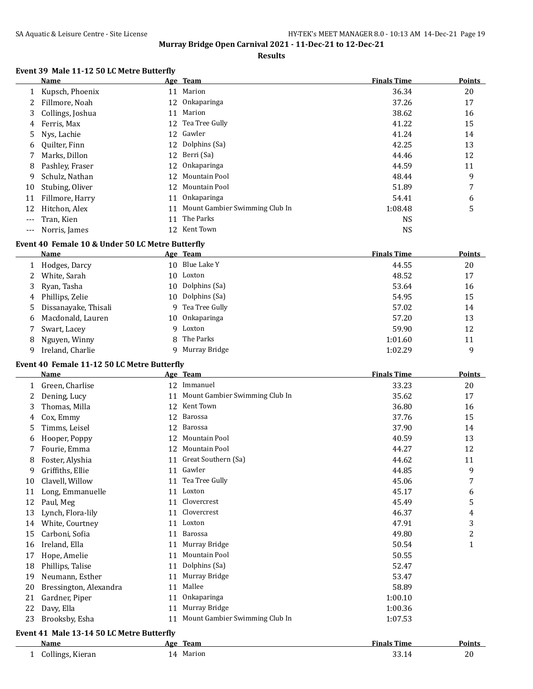#### **Results**

## **Event 39 Male 11-12 50 LC Metre Butterfly**

|     | Name             |    | Age Team                          | <b>Finals Time</b> | <b>Points</b> |
|-----|------------------|----|-----------------------------------|--------------------|---------------|
| 1   | Kupsch, Phoenix  |    | 11 Marion                         | 36.34              | 20            |
|     | Fillmore, Noah   |    | 12 Onkaparinga                    | 37.26              | 17            |
| 3   | Collings, Joshua |    | 11 Marion                         | 38.62              | 16            |
| 4   | Ferris, Max      |    | 12 Tea Tree Gully                 | 41.22              | 15            |
| 5.  | Nys, Lachie      |    | 12 Gawler                         | 41.24              | 14            |
| 6   | Quilter, Finn    |    | 12 Dolphins (Sa)                  | 42.25              | 13            |
|     | Marks, Dillon    |    | 12 Berri (Sa)                     | 44.46              | 12            |
| 8   | Pashley, Fraser  |    | 12 Onkaparinga                    | 44.59              | 11            |
| 9   | Schulz, Nathan   |    | 12 Mountain Pool                  | 48.44              | 9             |
| 10  | Stubing, Oliver  | 12 | Mountain Pool                     | 51.89              | 7             |
| 11  | Fillmore, Harry  |    | 11 Onkaparinga                    | 54.41              | 6             |
| 12  | Hitchon, Alex    |    | 11 Mount Gambier Swimming Club In | 1:08.48            | 5             |
|     | Tran, Kien       | 11 | The Parks                         | <b>NS</b>          |               |
| --- | Norris, James    | 12 | Kent Town                         | <b>NS</b>          |               |

## **Event 40 Female 10 & Under 50 LC Metre Butterfly**

|   | Name                   |    | Age Team         | <b>Finals Time</b> | <b>Points</b> |
|---|------------------------|----|------------------|--------------------|---------------|
|   | Hodges, Darcy          |    | 10 Blue Lake Y   | 44.55              | 20            |
|   | 2 White, Sarah         |    | 10 Loxton        | 48.52              | 17            |
|   | 3 Ryan, Tasha          |    | 10 Dolphins (Sa) | 53.64              | 16            |
|   | 4 Phillips, Zelie      |    | 10 Dolphins (Sa) | 54.95              | 15            |
|   | 5 Dissanayake, Thisali |    | 9 Tea Tree Gully | 57.02              | 14            |
|   | 6 Macdonald, Lauren    |    | 10 Onkaparinga   | 57.20              | 13            |
|   | Swart, Lacey           | q. | Loxton           | 59.90              | 12            |
| 8 | Nguyen, Winny          |    | 8 The Parks      | 1:01.60            | 11            |
| 9 | Ireland, Charlie       |    | Murray Bridge    | 1:02.29            | 9             |

#### **Event 40 Female 11-12 50 LC Metre Butterfly**

|    | <b>Name</b>                               |     | Age Team                       | <b>Finals Time</b> | <b>Points</b> |
|----|-------------------------------------------|-----|--------------------------------|--------------------|---------------|
| 1  | Green, Charlise                           | 12  | Immanuel                       | 33.23              | 20            |
| 2  | Dening, Lucy                              | 11  | Mount Gambier Swimming Club In | 35.62              | 17            |
| 3  | Thomas, Milla                             | 12  | Kent Town                      | 36.80              | 16            |
| 4  | Cox, Emmy                                 | 12  | Barossa                        | 37.76              | 15            |
| 5  | Timms, Leisel                             | 12  | Barossa                        | 37.90              | 14            |
| 6  | Hooper, Poppy                             | 12  | Mountain Pool                  | 40.59              | 13            |
| 7  | Fourie, Emma                              | 12  | <b>Mountain Pool</b>           | 44.27              | 12            |
| 8  | Foster, Alyshia                           | 11  | Great Southern (Sa)            | 44.62              | 11            |
| 9  | Griffiths, Ellie                          | 11  | Gawler                         | 44.85              | 9             |
| 10 | Clavell, Willow                           | 11  | Tea Tree Gully                 | 45.06              | 7             |
| 11 | Long, Emmanuelle                          | 11  | Loxton                         | 45.17              | 6             |
| 12 | Paul, Meg                                 | 11  | Clovercrest                    | 45.49              | 5             |
| 13 | Lynch, Flora-lily                         | 11  | Clovercrest                    | 46.37              | 4             |
| 14 | White, Courtney                           | 11  | Loxton                         | 47.91              | 3             |
| 15 | Carboni, Sofia                            | 11  | Barossa                        | 49.80              | 2             |
| 16 | Ireland, Ella                             | 11  | Murray Bridge                  | 50.54              | $\mathbf{1}$  |
| 17 | Hope, Amelie                              | 11  | Mountain Pool                  | 50.55              |               |
| 18 | Phillips, Talise                          | 11  | Dolphins (Sa)                  | 52.47              |               |
| 19 | Neumann, Esther                           | 11  | Murray Bridge                  | 53.47              |               |
| 20 | Bressington, Alexandra                    | 11  | Mallee                         | 58.89              |               |
| 21 | Gardner, Piper                            | 11  | Onkaparinga                    | 1:00.10            |               |
| 22 | Davy, Ella                                | 11  | Murray Bridge                  | 1:00.36            |               |
| 23 | Brooksby, Esha                            | 11  | Mount Gambier Swimming Club In | 1:07.53            |               |
|    | Event 41 Male 13-14 50 LC Metre Butterfly |     |                                |                    |               |
|    | Name                                      | Age | <b>Team</b>                    | <b>Finals Time</b> | <b>Points</b> |
| 1  | Collings, Kieran                          |     | 14 Marion                      | 33.14              | 20            |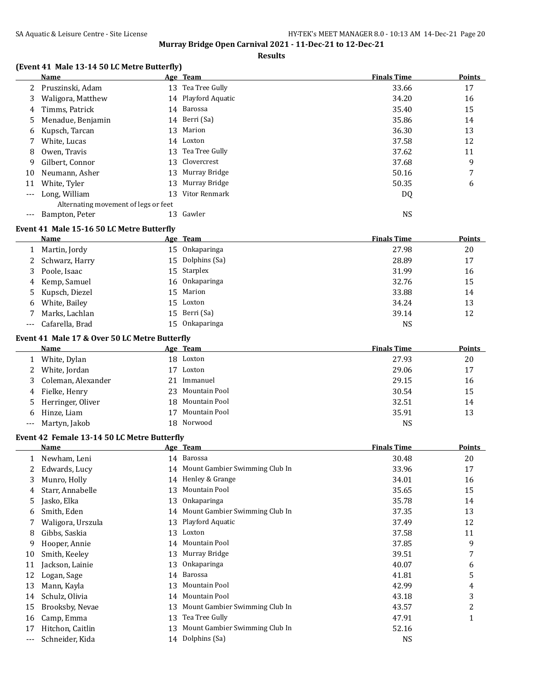#### **Results**

## **(Event 41 Male 13-14 50 LC Metre Butterfly)**

|       | Name                                 |    | Age Team            | <b>Finals Time</b> | <b>Points</b> |
|-------|--------------------------------------|----|---------------------|--------------------|---------------|
|       | Pruszinski, Adam                     |    | 13 Tea Tree Gully   | 33.66              | 17            |
| 3     | Waligora, Matthew                    |    | 14 Playford Aquatic | 34.20              | 16            |
| 4     | Timms, Patrick                       |    | 14 Barossa          | 35.40              | 15            |
| 5.    | Menadue, Benjamin                    |    | 14 Berri (Sa)       | 35.86              | 14            |
| 6     | Kupsch, Tarcan                       |    | 13 Marion           | 36.30              | 13            |
|       | White, Lucas                         |    | 14 Loxton           | 37.58              | 12            |
| 8     | Owen, Travis                         | 13 | Tea Tree Gully      | 37.62              | 11            |
| 9     | Gilbert, Connor                      |    | 13 Clovercrest      | 37.68              | 9             |
| 10    | Neumann, Asher                       | 13 | Murray Bridge       | 50.16              | 7             |
| 11    | White, Tyler                         | 13 | Murray Bridge       | 50.35              | 6             |
| $---$ | Long, William                        | 13 | Vitor Renmark       | DQ                 |               |
|       | Alternating movement of legs or feet |    |                     |                    |               |
|       | Bampton, Peter                       |    | Gawler              | <b>NS</b>          |               |

#### **Event 41 Male 15-16 50 LC Metre Butterfly**

| Name                |  | <b>Finals Time</b>                                                                                                                           | Points |
|---------------------|--|----------------------------------------------------------------------------------------------------------------------------------------------|--------|
| 1 Martin, Jordy     |  | 27.98                                                                                                                                        | 20     |
| 2 Schwarz, Harry    |  | 28.89                                                                                                                                        | 17     |
| 3 Poole, Isaac      |  | 31.99                                                                                                                                        | 16     |
| 4 Kemp, Samuel      |  | 32.76                                                                                                                                        | 15     |
| 5 Kupsch, Diezel    |  | 33.88                                                                                                                                        | 14     |
| 6 White, Bailey     |  | 34.24                                                                                                                                        | 13     |
| Marks, Lachlan      |  | 39.14                                                                                                                                        | 12     |
| --- Cafarella, Brad |  | <b>NS</b>                                                                                                                                    |        |
|                     |  | Age Team<br>15 Onkaparinga<br>15 Dolphins (Sa)<br>15 Starplex<br>16 Onkaparinga<br>15 Marion<br>15 Loxton<br>15 Berri (Sa)<br>15 Onkaparinga |        |

#### **Event 41 Male 17 & Over 50 LC Metre Butterfly**

|       | <b>Name</b>          |    | Age Team         | <b>Finals Time</b> | <b>Points</b> |
|-------|----------------------|----|------------------|--------------------|---------------|
|       | White, Dylan         |    | 18 Loxton        | 27.93              | 20            |
|       | 2 White, Jordan      | 17 | Loxton           | 29.06              | 17            |
|       | 3 Coleman, Alexander | 21 | Immanuel         | 29.15              | 16            |
|       | 4 Fielke, Henry      |    | 23 Mountain Pool | 30.54              | 15            |
|       | 5 Herringer, Oliver  |    | 18 Mountain Pool | 32.51              | 14            |
|       | 6 Hinze, Liam        |    | Mountain Pool    | 35.91              | 13            |
| $---$ | Martyn, Jakob        |    | 18 Norwood       | <b>NS</b>          |               |

### **Event 42 Female 13-14 50 LC Metre Butterfly**

|       | <b>Name</b>       |    | Age Team                          | <b>Finals Time</b> | Points |
|-------|-------------------|----|-----------------------------------|--------------------|--------|
|       | Newham, Leni      |    | 14 Barossa                        | 30.48              | 20     |
|       | Edwards, Lucy     |    | 14 Mount Gambier Swimming Club In | 33.96              | 17     |
| 3     | Munro, Holly      | 14 | Henley & Grange                   | 34.01              | 16     |
| 4     | Starr, Annabelle  | 13 | Mountain Pool                     | 35.65              | 15     |
| 5     | Jasko, Elka       | 13 | Onkaparinga                       | 35.78              | 14     |
| 6     | Smith, Eden       |    | 14 Mount Gambier Swimming Club In | 37.35              | 13     |
|       | Waligora, Urszula |    | 13 Playford Aquatic               | 37.49              | 12     |
| 8     | Gibbs, Saskia     | 13 | Loxton                            | 37.58              | 11     |
| 9     | Hooper, Annie     |    | 14 Mountain Pool                  | 37.85              | 9      |
| 10    | Smith, Keeley     |    | 13 Murray Bridge                  | 39.51              | 7      |
| 11    | Jackson, Lainie   | 13 | Onkaparinga                       | 40.07              | 6      |
| 12    | Logan, Sage       |    | 14 Barossa                        | 41.81              | 5      |
| 13    | Mann, Kayla       | 13 | Mountain Pool                     | 42.99              | 4      |
| 14    | Schulz, Olivia    | 14 | Mountain Pool                     | 43.18              | 3      |
| 15    | Brooksby, Nevae   | 13 | Mount Gambier Swimming Club In    | 43.57              | 2      |
| 16    | Camp, Emma        | 13 | Tea Tree Gully                    | 47.91              | т      |
| 17    | Hitchon, Caitlin  | 13 | Mount Gambier Swimming Club In    | 52.16              |        |
| $---$ | Schneider, Kida   |    | 14 Dolphins (Sa)                  | <b>NS</b>          |        |